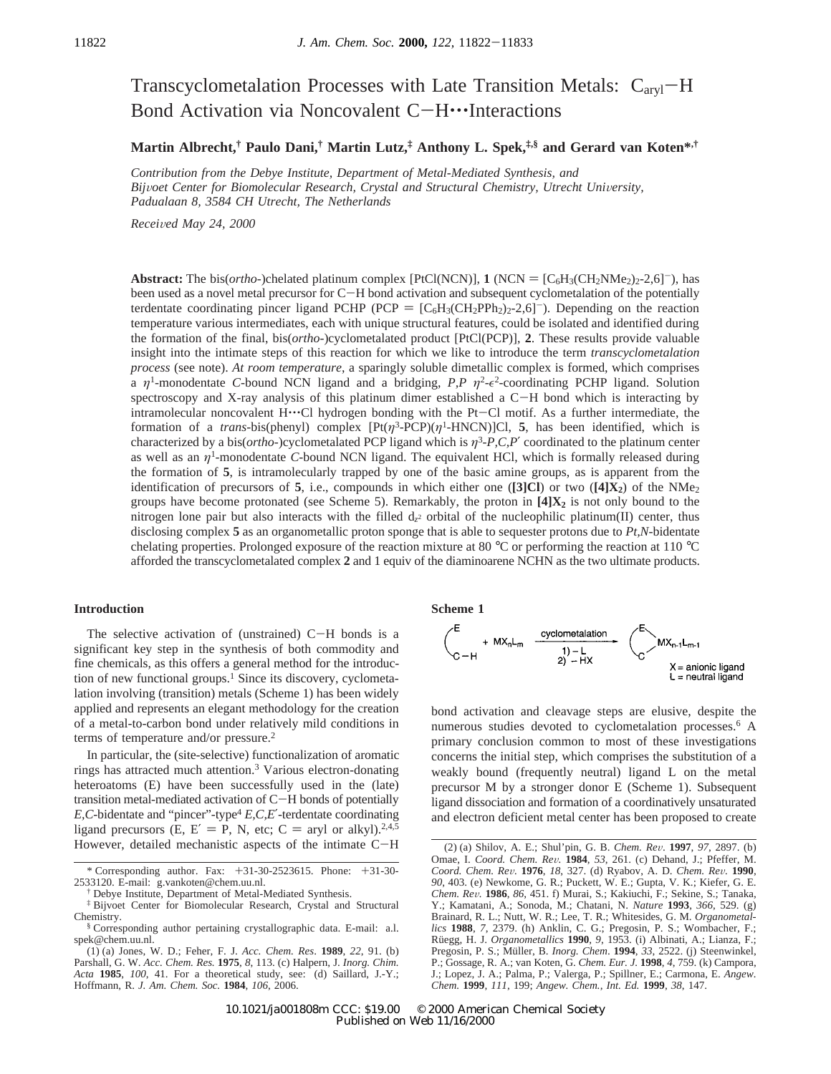# Transcyclometalation Processes with Late Transition Metals:  $C_{\text{arvl}}-H$ Bond Activation via Noncovalent C-H---Interactions

**Martin Albrecht,† Paulo Dani,† Martin Lutz,‡ Anthony L. Spek,‡,§ and Gerard van Koten\*,†**

*Contribution from the Debye Institute, Department of Metal-Mediated Synthesis, and Bijvoet Center for Biomolecular Research, Crystal and Structural Chemistry, Utrecht University, Padualaan 8, 3584 CH Utrecht, The Netherlands*

*Recei*V*ed May 24, 2000*

**Abstract:** The bis(*ortho*-)chelated platinum complex [PtCl(NCN)], **1** (NCN =  $[C_6H_3(CH_2NMe_2)_2-2,6]$ ), has been used as a novel metal precursor for C-H bond activation and subsequent cyclometalation of the potentially terdentate coordinating pincer ligand PCHP (PCP =  $[C_6H_3(CH_2PPh_2)_2-2,6]$ ). Depending on the reaction temperature various intermediates, each with unique structural features, could be isolated and identified during the formation of the final, bis(*ortho*-)cyclometalated product [PtCl(PCP)], **2**. These results provide valuable insight into the intimate steps of this reaction for which we like to introduce the term *transcyclometalation process* (see note). *At room temperature*, a sparingly soluble dimetallic complex is formed, which comprises a  $\eta$ <sup>1</sup>-monodentate *C*-bound NCN ligand and a bridging, *P,P*  $\eta$ <sup>2</sup>- $\epsilon$ <sup>2</sup>-coordinating PCHP ligand. Solution spectroscopy and X-ray analysis of this platinum dimer established a C-H bond which is interacting by intramolecular noncovalent  $H^{\bullet}$ . Cl hydrogen bonding with the Pt-Cl motif. As a further intermediate, the formation of a *trans*-bis(phenyl) complex  $[Pt(\eta^3-PCP)(\eta^1-HNCN)]C$ , 5, has been identified, which is characterized by a bis( $ortho$ -)cyclometalated PCP ligand which is  $\eta$ <sup>3</sup>-P, C, P' coordinated to the platinum center as well as an  $\eta$ <sup>1</sup>-monodentate *C*-bound NCN ligand. The equivalent HCl, which is formally released during the formation of **5**, is intramolecularly trapped by one of the basic amine groups, as is apparent from the identification of precursors of **5**, i.e., compounds in which either one (**[3]Cl**) or two (**[4]X<sub>2</sub>**) of the NMe<sub>2</sub> groups have become protonated (see Scheme 5). Remarkably, the proton in  $[4]X_2$  is not only bound to the nitrogen lone pair but also interacts with the filled  $d_{z}$ <sup>2</sup> orbital of the nucleophilic platinum(II) center, thus disclosing complex **5** as an organometallic proton sponge that is able to sequester protons due to *Pt,N-*bidentate chelating properties. Prolonged exposure of the reaction mixture at 80 °C or performing the reaction at 110 °C afforded the transcyclometalated complex **2** and 1 equiv of the diaminoarene NCHN as the two ultimate products.

# **Introduction**

The selective activation of (unstrained)  $C-H$  bonds is a significant key step in the synthesis of both commodity and fine chemicals, as this offers a general method for the introduction of new functional groups.<sup>1</sup> Since its discovery, cyclometalation involving (transition) metals (Scheme 1) has been widely applied and represents an elegant methodology for the creation of a metal-to-carbon bond under relatively mild conditions in terms of temperature and/or pressure.2

In particular, the (site-selective) functionalization of aromatic rings has attracted much attention.3 Various electron-donating heteroatoms (E) have been successfully used in the (late) transition metal-mediated activation of C-H bonds of potentially  $E, C$ -bidentate and "pincer"-type<sup>4</sup>  $E, C, E'$ -terdentate coordinating ligand precursors (E, E' = P, N, etc; C = aryl or alkyl).<sup>2,4,5</sup> However, detailed mechanistic aspects of the intimate C-<sup>H</sup> **Scheme 1**



bond activation and cleavage steps are elusive, despite the numerous studies devoted to cyclometalation processes.<sup>6</sup> A primary conclusion common to most of these investigations concerns the initial step, which comprises the substitution of a weakly bound (frequently neutral) ligand L on the metal precursor M by a stronger donor E (Scheme 1). Subsequent ligand dissociation and formation of a coordinatively unsaturated and electron deficient metal center has been proposed to create

<sup>\*</sup> Corresponding author. Fax: +31-30-2523615. Phone: +31-30- 2533120. E-mail: g.vankoten@chem.uu.nl.

Debye Institute, Department of Metal-Mediated Synthesis.

<sup>‡</sup> Bijvoet Center for Biomolecular Research, Crystal and Structural Chemistry.

<sup>§</sup> Corresponding author pertaining crystallographic data. E-mail: a.l. spek@chem.uu.nl.

<sup>(1) (</sup>a) Jones, W. D.; Feher, F. J. *Acc. Chem. Res*. **1989**, *22*, 91. (b) Parshall, G. W. *Acc. Chem. Res.* **1975**, *8*, 113. (c) Halpern, J. *Inorg. Chim. Acta* **1985**, *100*, 41. For a theoretical study, see: (d) Saillard, J.-Y.; Hoffmann, R. *J. Am. Chem. Soc.* **1984**, *106*, 2006.

<sup>(2) (</sup>a) Shilov, A. E.; Shul'pin, G. B. *Chem. Re*V. **<sup>1997</sup>**, *<sup>97</sup>*, 2897. (b) Omae, I. *Coord. Chem. Re*V*.* **<sup>1984</sup>**, *<sup>53</sup>*, 261. (c) Dehand, J.; Pfeffer, M. *Coord. Chem. Re*V*.* **<sup>1976</sup>**, *<sup>18</sup>*, 327. (d) Ryabov, A. D. *Chem. Re*V*.* **<sup>1990</sup>**, *90*, 403. (e) Newkome, G. R.; Puckett, W. E.; Gupta, V. K.; Kiefer, G. E. *Chem. Re*V*.* **<sup>1986</sup>**, *<sup>86</sup>*, 451. f) Murai, S*.*; Kakiuchi, F.; Sekine, S.; Tanaka, Y.; Kamatani, A.; Sonoda, M.; Chatani, N. *Nature* **1993**, *366*, 529. (g) Brainard, R. L.; Nutt, W. R.; Lee, T. R.; Whitesides, G. M. *Organometallics* **1988**, *7*, 2379. (h) Anklin, C. G.; Pregosin, P. S.; Wombacher, F.; Rüegg, H. J. Organometallics 1990, 9, 1953. (i) Albinati, A.; Lianza, F.; Pregosin, P. S.; Müller, B. *Inorg. Chem.* **1994**, 33, 2522. (j) Steenwinkel, P.; Gossage, R. A.; van Koten, G. *Chem. Eur. J.* **1998**, *4*, 759. (k) Campora, J.; Lopez, J. A.; Palma, P.; Valerga, P.; Spillner, E.; Carmona, E. *Angew. Chem.* **1999**, *111*, 199; *Angew. Chem., Int. Ed.* **1999**, *38*, 147.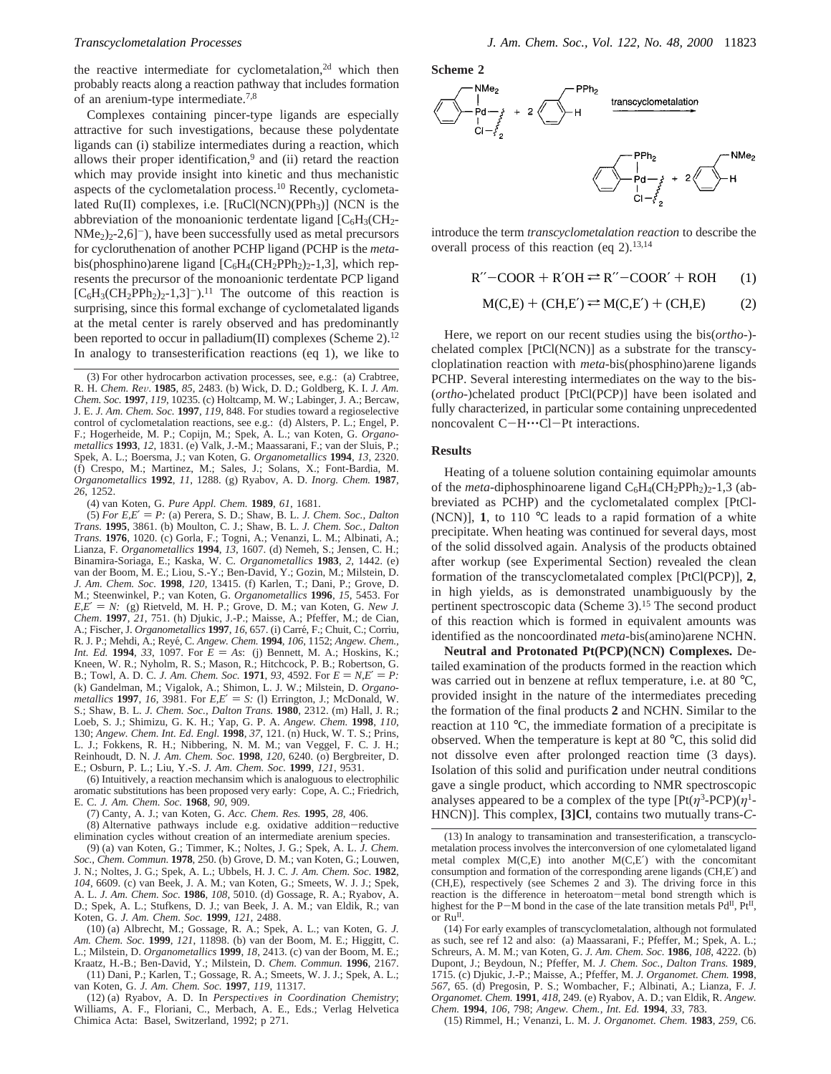the reactive intermediate for cyclometalation,<sup>2d</sup> which then probably reacts along a reaction pathway that includes formation of an arenium-type intermediate.7,8

Complexes containing pincer-type ligands are especially attractive for such investigations, because these polydentate ligands can (i) stabilize intermediates during a reaction, which allows their proper identification, $9$  and (ii) retard the reaction which may provide insight into kinetic and thus mechanistic aspects of the cyclometalation process.<sup>10</sup> Recently, cyclometalated  $Ru(II)$  complexes, i.e.  $[RuCl(NCN)(PPh_3)]$  (NCN is the abbreviation of the monoanionic terdentate ligand  $[C_6H_3(CH_2 NMe<sub>2</sub>/2-2,6$ ]<sup>-</sup>), have been successfully used as metal precursors for cycloruthenation of another PCHP ligand (PCHP is the *meta*bis(phosphino)arene ligand  $[C_6H_4(CH_2PPh_2)_2-1,3]$ , which represents the precursor of the monoanionic terdentate PCP ligand  $[C_6H_3(CH_2PPh_2)_2-1,3]^{-}$ .<sup>11</sup> The outcome of this reaction is surprising, since this formal exchange of cyclometalated ligands at the metal center is rarely observed and has predominantly been reported to occur in palladium(II) complexes (Scheme 2).<sup>12</sup> In analogy to transesterification reactions (eq 1), we like to

(4) van Koten, G. *Pure Appl. Chem.* **1989**, *61*, 1681.

 $(5)$  *For E,E'* = *P*: (a) Perera, S. D.; Shaw, B. L. *J. Chem. Soc., Dalton Trans.* **1995**, 3861. (b) Moulton, C. J.; Shaw, B. L. *J. Chem. Soc., Dalton Trans.* **1976**, 1020. (c) Gorla, F.; Togni, A.; Venanzi, L. M.; Albinati, A.; Lianza, F. *Organometallics* **1994**, *13*, 1607. (d) Nemeh, S.; Jensen, C. H.; Binamira-Soriaga, E.; Kaska, W. C. *Organometallics* **1983**, *2*, 1442. (e) van der Boom, M. E.; Liou, S.-Y.; Ben-David, Y.; Gozin, M.; Milstein, D. *J. Am. Chem. Soc.* **1998**, *120*, 13415. (f) Karlen, T.; Dani, P.; Grove, D. M.; Steenwinkel, P.; van Koten, G. *Organometallics* **1996**, *15*, 5453. For  $E, E' = N$ : (g) Rietveld, M. H. P.; Grove, D. M.; van Koten, G. *New J. Chem*. **1997**, *21*, 751. (h) Djukic, J.-P.; Maisse, A.; Pfeffer, M.; de Cian, A.; Fischer, J. *Organometallics* **1997**, *16*, 657. (i) Carré, F.; Chuit, C.; Corriu, R. J. P.; Mehdi, A.; Reye´, C. *Angew. Chem.* **1994**, *106*, 1152; *Angew. Chem., Int. Ed.* **1994**, 33, 1097. For  $E = As$ : (j) Bennett, M. A.; Hoskins, K.; Kneen, W. R.; Nyholm, R. S.; Mason, R.; Hitchcock, P. B.; Robertson, G. B.; Towl, A. D. C. *J. Am. Chem. Soc.* **1971**, 93, 4592. For  $E = N.E' = P$ : (k) Gandelman, M.; Vigalok, A.; Shimon, L. J. W.; Milstein, D. *Organometallics* **1997**, *16*, 3981. For *E,E'* = *S:* (1) Errington, J.; McDonald, W. S.; Shaw, B. L. *J. Chem. Soc., Dalton Trans.* **1980**, 2312. (m) Hall, J. R.; Loeb, S. J.; Shimizu, G. K. H.; Yap, G. P. A. *Angew. Chem.* **1998**, *110*, 130; *Angew. Chem. Int. Ed. Engl.* **1998**, *37*, 121. (n) Huck, W. T. S.; Prins, L. J.; Fokkens, R. H.; Nibbering, N. M. M.; van Veggel, F. C. J. H.; Reinhoudt, D. N. *J. Am. Chem. Soc.* **1998**, *120*, 6240. (o) Bergbreiter, D. E.; Osburn, P. L.; Liu, Y.-S. *J. Am. Chem. Soc.* **1999**, *121*, 9531.

(6) Intuitively, a reaction mechansim which is analoguous to electrophilic aromatic substitutions has been proposed very early: Cope, A. C.; Friedrich, E. C. *J. Am. Chem. Soc.* **1968**, *90*, 909.

(7) Canty, A. J.; van Koten, G. *Acc. Chem. Res.* **1995**, *28*, 406.

(8) Alternative pathways include e.g. oxidative addition-reductive elimination cycles without creation of an intermediate arenium species.

(9) (a) van Koten, G.; Timmer, K.; Noltes, J. G.; Spek*,* A. L. *J. Chem. Soc., Chem. Commun*. **1978**, 250. (b) Grove, D. M.; van Koten, G.; Louwen, J. N.; Noltes, J. G.; Spek, A. L.; Ubbels, H. J. C. *J. Am. Chem. Soc*. **1982**, *104*, 6609. (c) van Beek, J. A. M.; van Koten, G.; Smeets, W. J. J.; Spek, A. L. *J. Am. Chem. Soc.* **1986**, *108*, 5010. (d) Gossage, R. A.; Ryabov, A. D.; Spek, A. L.; Stufkens, D. J.; van Beek, J. A. M.; van Eldik, R.; van Koten, G. *J. Am. Chem. Soc.* **1999**, *121*, 2488.

(10) (a) Albrecht, M.; Gossage, R. A.; Spek, A. L.; van Koten, G. *J. Am. Chem. Soc.* **1999**, *121*, 11898. (b) van der Boom, M. E.; Higgitt, C. L.; Milstein, D. *Organometallics* **1999**, *18*, 2413. (c) van der Boom, M. E.; Kraatz, H.-B.; Ben-David, Y.; Milstein, D. *Chem. Commun.* **1996**, 2167.

(11) Dani, P.; Karlen, T.; Gossage, R. A.; Smeets, W. J. J.; Spek, A. L.; van Koten, G. *J. Am. Chem. Soc.* **1997**, *119*, 11317.

(12) (a) Ryabov, A. D. In *Perspectives in Coordination Chemistry*; Williams, A. F., Floriani, C., Merbach, A. E., Eds.; Verlag Helvetica Chimica Acta: Basel, Switzerland, 1992; p 271.

**Scheme 2**



introduce the term *transcyclometalation reaction* to describe the overall process of this reaction (eq  $2$ ).<sup>13,14</sup>

 $R''$ -COOR +  $R'OH \rightleftharpoons R''$ -COOR' + ROH (1)

$$
M(C,E) + (CH,E') \rightleftarrows M(C,E') + (CH,E)
$$
 (2)

Here, we report on our recent studies using the bis(*ortho*-) chelated complex [PtCl(NCN)] as a substrate for the transcycloplatination reaction with *meta*-bis(phosphino)arene ligands PCHP. Several interesting intermediates on the way to the bis- (*ortho*-)chelated product [PtCl(PCP)] have been isolated and fully characterized, in particular some containing unprecedented noncovalent C-H···Cl-Pt interactions.

# **Results**

Heating of a toluene solution containing equimolar amounts of the *meta*-diphosphinoarene ligand  $C_6H_4(CH_2PPh_2)_2-1,3$  (abbreviated as PCHP) and the cyclometalated complex [PtCl- (NCN)], **1**, to 110 °C leads to a rapid formation of a white precipitate. When heating was continued for several days, most of the solid dissolved again. Analysis of the products obtained after workup (see Experimental Section) revealed the clean formation of the transcyclometalated complex [PtCl(PCP)], **2**, in high yields, as is demonstrated unambiguously by the pertinent spectroscopic data (Scheme 3).<sup>15</sup> The second product of this reaction which is formed in equivalent amounts was identified as the noncoordinated *meta*-bis(amino)arene NCHN.

**Neutral and Protonated Pt(PCP)(NCN) Complexes.** Detailed examination of the products formed in the reaction which was carried out in benzene at reflux temperature, i.e. at 80 °C, provided insight in the nature of the intermediates preceding the formation of the final products **2** and NCHN. Similar to the reaction at 110 °C, the immediate formation of a precipitate is observed. When the temperature is kept at 80 °C, this solid did not dissolve even after prolonged reaction time (3 days). Isolation of this solid and purification under neutral conditions gave a single product, which according to NMR spectroscopic analyses appeared to be a complex of the type  $[Pt(\eta^3-PCP)(\eta^1-PCP)]$ HNCN)]. This complex, **[3]Cl**, contains two mutually trans-*C*-

(15) Rimmel, H.; Venanzi, L. M. *J. Organomet. Chem.* **1983**, *259*, C6.

<sup>(3)</sup> For other hydrocarbon activation processes, see, e.g.: (a) Crabtree, R. H. *Chem. Re*V. **<sup>1985</sup>**, *<sup>85</sup>*, 2483. (b) Wick, D. D.; Goldberg, K. I. *J. Am. Chem. Soc.* **1997**, *119*, 10235. (c) Holtcamp, M. W.; Labinger, J. A.; Bercaw, J. E. *J. Am. Chem. Soc.* **1997**, *119*, 848. For studies toward a regioselective control of cyclometalation reactions, see e.g.: (d) Alsters, P. L.; Engel, P. F.; Hogerheide, M. P.; Copijn, M.; Spek, A. L.; van Koten, G. *Organometallics* **1993**, *12*, 1831. (e) Valk, J.-M.; Maassarani, F.; van der Sluis, P.; Spek, A. L.; Boersma, J.; van Koten, G. *Organometallics* **1994**, *13*, 2320. (f) Crespo, M.; Martinez, M.; Sales, J.; Solans, X.; Font-Bardia, M. *Organometallics* **1992**, *11*, 1288. (g) Ryabov, A. D. *Inorg. Chem.* **1987**, *26*, 1252.

<sup>(13)</sup> In analogy to transamination and transesterification, a transcyclometalation process involves the interconversion of one cylometalated ligand metal complex  $M(C,E)$  into another  $M(C,E')$  with the concomitant consumption and formation of the corresponding arene ligands (CH,E′) and (CH,E), respectively (see Schemes 2 and 3). The driving force in this reaction is the difference in heteroatom-metal bond strength which is highest for the P-M bond in the case of the late transition metals  $Pd^{II}$ ,  $Pf^{II}$ ,  $or$  $Ru$ <sup>II</sup>

<sup>(14)</sup> For early examples of transcyclometalation, although not formulated as such, see ref 12 and also: (a) Maassarani, F.; Pfeffer, M.; Spek, A. L.; Schreurs, A. M. M.; van Koten, G. *J. Am. Chem. Soc.* **1986**, *108*, 4222. (b) Dupont, J.; Beydoun, N.; Pfeffer, M. *J. Chem. Soc., Dalton Trans.* **1989**, 1715. (c) Djukic, J.-P.; Maisse, A.; Pfeffer, M. *J. Organomet. Chem.* **1998**, *567*, 65. (d) Pregosin, P. S.; Wombacher, F.; Albinati, A.; Lianza, F. *J. Organomet. Chem.* **1991**, *418*, 249. (e) Ryabov, A. D.; van Eldik, R. *Angew. Chem.* **1994**, *106*, 798; *Angew. Chem., Int. Ed.* **1994**, *33*, 783.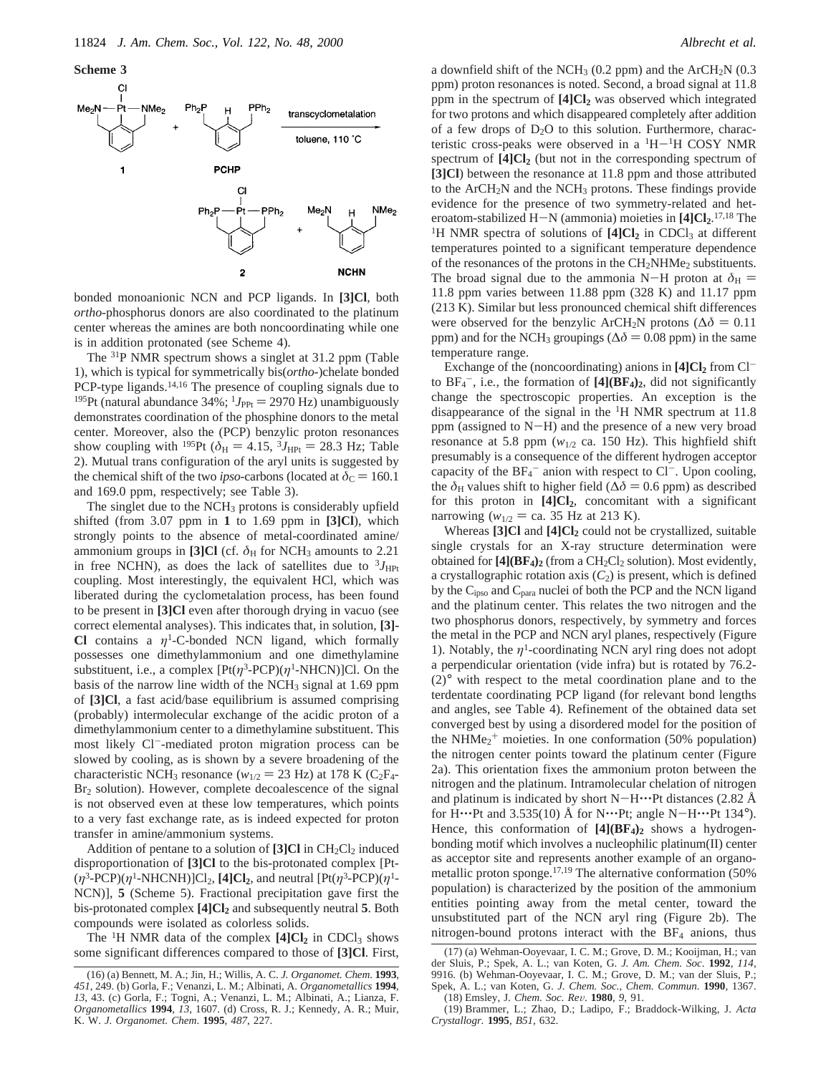**Scheme 3**



bonded monoanionic NCN and PCP ligands. In **[3]Cl**, both *ortho*-phosphorus donors are also coordinated to the platinum center whereas the amines are both noncoordinating while one is in addition protonated (see Scheme 4).

The 31P NMR spectrum shows a singlet at 31.2 ppm (Table 1), which is typical for symmetrically bis(*ortho-*)chelate bonded PCP-type ligands.<sup>14,16</sup> The presence of coupling signals due to <sup>195</sup>Pt (natural abundance 34%;  $^{1}J_{\text{PPt}} = 2970 \text{ Hz}$ ) unambiguously demonstrates coordination of the phosphine donors to the metal center. Moreover, also the (PCP) benzylic proton resonances show coupling with <sup>195</sup>Pt ( $\delta_{\rm H} = 4.15$ ,  $\delta J_{\rm HPt} = 28.3$  Hz; Table 2). Mutual trans configuration of the aryl units is suggested by the chemical shift of the two *ipso*-carbons (located at  $\delta_c = 160.1$ and 169.0 ppm, respectively; see Table 3).

The singlet due to the NCH<sub>3</sub> protons is considerably upfield shifted (from 3.07 ppm in **1** to 1.69 ppm in **[3]Cl**), which strongly points to the absence of metal-coordinated amine/ ammonium groups in [3]Cl (cf.  $\delta_H$  for NCH<sub>3</sub> amounts to 2.21 in free NCHN), as does the lack of satellites due to  ${}^{3}J_{\text{HPt}}$ coupling. Most interestingly, the equivalent HCl, which was liberated during the cyclometalation process, has been found to be present in **[3]Cl** even after thorough drying in vacuo (see correct elemental analyses). This indicates that, in solution, **[3]- Cl** contains a  $\eta$ <sup>1</sup>-C-bonded NCN ligand, which formally possesses one dimethylammonium and one dimethylamine substituent, i.e., a complex  $[Pt(\eta^3-PCP)(\eta^1-NHCN)]CI$ . On the basis of the narrow line width of the NCH<sub>3</sub> signal at 1.69 ppm of **[3]Cl**, a fast acid/base equilibrium is assumed comprising (probably) intermolecular exchange of the acidic proton of a dimethylammonium center to a dimethylamine substituent. This most likely Cl--mediated proton migration process can be slowed by cooling, as is shown by a severe broadening of the characteristic NCH<sub>3</sub> resonance ( $w_{1/2} = 23$  Hz) at 178 K (C<sub>2</sub>F<sub>4</sub>-Br<sub>2</sub> solution). However, complete decoalescence of the signal is not observed even at these low temperatures, which points to a very fast exchange rate, as is indeed expected for proton transfer in amine/ammonium systems.

Addition of pentane to a solution of  $[3]$ Cl in CH<sub>2</sub>Cl<sub>2</sub> induced disproportionation of **[3]Cl** to the bis-protonated complex [Pt-  $(\eta^3$ -PCP $)(\eta^1$ -NHCNH $)$ ]Cl<sub>2</sub>, **[4]Cl<sub>2</sub>**, and neutral  $[Pt(\eta^3$ -PCP $)(\eta^1$ -NCN)], **5** (Scheme 5). Fractional precipitation gave first the bis-protonated complex **[4]Cl2** and subsequently neutral **5**. Both compounds were isolated as colorless solids.

The <sup>1</sup>H NMR data of the complex  $[4]Cl<sub>2</sub>$  in CDCl<sub>3</sub> shows some significant differences compared to those of **[3]Cl**. First,

a downfield shift of the NCH<sub>3</sub> (0.2 ppm) and the ArCH<sub>2</sub>N (0.3 ppm) proton resonances is noted. Second, a broad signal at 11.8 ppm in the spectrum of **[4]Cl2** was observed which integrated for two protons and which disappeared completely after addition of a few drops of  $D_2O$  to this solution. Furthermore, characteristic cross-peaks were observed in a  ${}^{1}H-{}^{1}H$  COSY NMR spectrum of  $[4]Cl<sub>2</sub>$  (but not in the corresponding spectrum of **[3]Cl**) between the resonance at 11.8 ppm and those attributed to the  $ArCH<sub>2</sub>N$  and the NCH<sub>3</sub> protons. These findings provide evidence for the presence of two symmetry-related and heteroatom-stabilized H-N (ammonia) moieties in  $[4]Cl<sub>2</sub>$ .<sup>17,18</sup> The<br><sup>1</sup>H NMR spectra of solutions of  $[4]Cl<sub>2</sub>$  in CDCl<sub>2</sub> at different <sup>1</sup>H NMR spectra of solutions of  $[4]Cl<sub>2</sub>$  in CDCl<sub>3</sub> at different temperatures pointed to a significant temperature dependence of the resonances of the protons in the  $CH<sub>2</sub>NHMe<sub>2</sub>$  substituents. The broad signal due to the ammonia N-H proton at  $\delta_{\rm H}$  = 11.8 ppm varies between 11.88 ppm (328 K) and 11.17 ppm (213 K). Similar but less pronounced chemical shift differences were observed for the benzylic ArCH<sub>2</sub>N protons ( $\Delta \delta = 0.11$ ) ppm) and for the NCH<sub>3</sub> groupings ( $\Delta\delta$  = 0.08 ppm) in the same temperature range.

Exchange of the (noncoordinating) anions in  $[4]Cl<sub>2</sub>$  from  $Cl$ to  $BF_4^-$ , i.e., the formation of  $[4](BF_4)_2$ , did not significantly change the spectroscopic properties. An exception is the disappearance of the signal in the  ${}^{1}H$  NMR spectrum at 11.8 ppm (assigned to N-H) and the presence of a new very broad resonance at 5.8 ppm ( $w_{1/2}$  ca. 150 Hz). This highfield shift presumably is a consequence of the different hydrogen acceptor capacity of the  $BF_4^-$  anion with respect to Cl<sup>-</sup>. Upon cooling, the  $\delta$ <sub>H</sub> values shift to higher field ( $\Delta \delta$  = 0.6 ppm) as described for this proton in **[4]Cl2**, concomitant with a significant narrowing ( $w_{1/2} =$  ca. 35 Hz at 213 K).

Whereas [3]Cl and [4]Cl<sub>2</sub> could not be crystallized, suitable single crystals for an X-ray structure determination were obtained for  $[4]$ ( $BF_4$ )<sub>2</sub> (from a  $CH_2Cl_2$  solution). Most evidently, a crystallographic rotation axis  $(C_2)$  is present, which is defined by the Cipso and Cpara nuclei of both the PCP and the NCN ligand and the platinum center. This relates the two nitrogen and the two phosphorus donors, respectively, by symmetry and forces the metal in the PCP and NCN aryl planes, respectively (Figure 1). Notably, the  $\eta$ <sup>1</sup>-coordinating NCN aryl ring does not adopt a perpendicular orientation (vide infra) but is rotated by 76.2- (2)° with respect to the metal coordination plane and to the terdentate coordinating PCP ligand (for relevant bond lengths and angles, see Table 4). Refinement of the obtained data set converged best by using a disordered model for the position of the NHMe<sub>2</sub><sup>+</sup> moieties. In one conformation (50% population) the nitrogen center points toward the platinum center (Figure 2a). This orientation fixes the ammonium proton between the nitrogen and the platinum. Intramolecular chelation of nitrogen and platinum is indicated by short  $N-H\cdots$ Pt distances (2.82 Å for H $\cdots$ Pt and 3.535(10) Å for N $\cdots$ Pt; angle N $-H\cdots$ Pt 134°). Hence, this conformation of  $[4](BF_4)_2$  shows a hydrogenbonding motif which involves a nucleophilic platinum(II) center as acceptor site and represents another example of an organometallic proton sponge.<sup>17,19</sup> The alternative conformation (50%) population) is characterized by the position of the ammonium entities pointing away from the metal center, toward the unsubstituted part of the NCN aryl ring (Figure 2b). The nitrogen-bound protons interact with the BF4 anions, thus

<sup>(16) (</sup>a) Bennett, M. A.; Jin, H.; Willis, A. C. *J. Organomet. Chem*. **1993**, *451*, 249. (b) Gorla, F.; Venanzi, L. M.; Albinati, A. *Organometallics* **1994**, *13*, 43. (c) Gorla, F.; Togni, A.; Venanzi, L. M.; Albinati, A.; Lianza, F. *Organometallics* **1994**, *13*, 1607. (d) Cross, R. J.; Kennedy, A. R.; Muir, K. W. *J. Organomet. Chem*. **1995**, *487*, 227.

<sup>(17) (</sup>a) Wehman-Ooyevaar, I. C. M.; Grove, D. M.; Kooijman, H.; van der Sluis, P.; Spek, A. L.; van Koten, G. *J. Am. Chem. Soc*. **1992**, *114*, 9916. (b) Wehman-Ooyevaar, I. C. M.; Grove, D. M.; van der Sluis, P.; Spek, A. L.; van Koten, G. *J. Chem. Soc., Chem. Commun.* **1990**, 1367. (18) Emsley, J. *Chem. Soc. Re*V. **<sup>1980</sup>**, *<sup>9</sup>*, 91.

<sup>(19)</sup> Brammer, L.; Zhao, D.; Ladipo, F.; Braddock-Wilking, J. *Acta Crystallogr.* **1995**, *B51*, 632.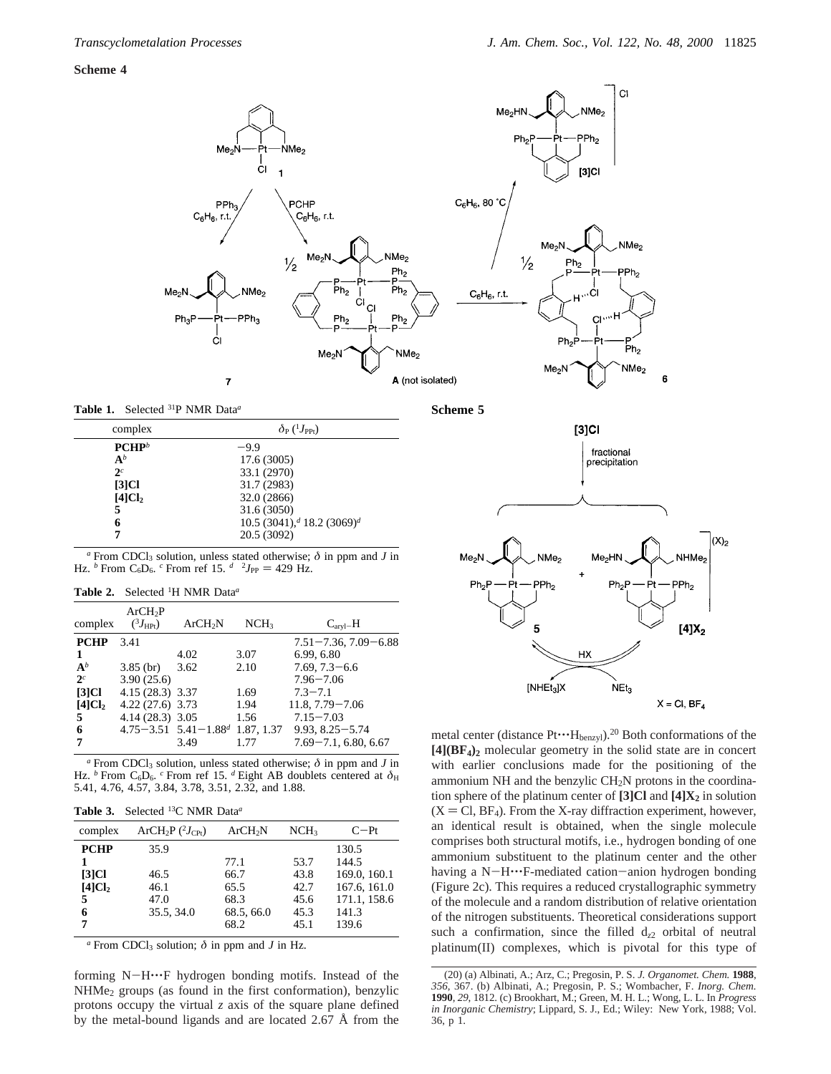## **Scheme 4**



**Table 1.** Selected 31P NMR Data*<sup>a</sup>*

| complex            | $\delta_P(^1J_{\rm PPf})$                          |
|--------------------|----------------------------------------------------|
| $PCHP^b$           | $-9.9$                                             |
| $A^b$              | 17.6 (3005)                                        |
| $2^c$              | 33.1 (2970)                                        |
| $[3]$ Cl           | 31.7 (2983)                                        |
| [4]Cl <sub>2</sub> | 32.0 (2866)                                        |
| 5                  | 31.6 (3050)                                        |
| 6                  | 10.5 (3041), <sup>d</sup> 18.2 (3069) <sup>d</sup> |
| 7                  | 20.5 (3092)                                        |

 $a$  From CDCl<sub>3</sub> solution, unless stated otherwise;  $\delta$  in ppm and *J* in Hz. *b* From C<sub>6</sub>D<sub>6</sub>. *c* From ref 15.  $d$   $^{2}J_{PP} = 429$  Hz.

|  | <b>Table 2.</b> Selected <sup>1</sup> H NMR Data <sup>a</sup> |  |  |  |  |
|--|---------------------------------------------------------------|--|--|--|--|
|--|---------------------------------------------------------------|--|--|--|--|

| complex            | ArCH <sub>2</sub> P<br>$(^3J_{\rm HPt})$ | ArCH <sub>2</sub> N                     | NCH <sub>3</sub> | $C_{\text{arvl}-H}$        |
|--------------------|------------------------------------------|-----------------------------------------|------------------|----------------------------|
| <b>PCHP</b>        | 3.41                                     |                                         |                  | $7.51 - 7.36, 7.09 - 6.88$ |
| 1                  |                                          | 4.02                                    | 3.07             | 6.99, 6.80                 |
| $A^b$              | $3.85$ (br)                              | 3.62                                    | 2.10             | $7.69, 7.3 - 6.6$          |
| 2 <sup>c</sup>     | 3.90(25.6)                               |                                         |                  | $7.96 - 7.06$              |
| $[3]$ Cl           | 4.15 (28.3) 3.37                         |                                         | 1.69             | $7.3 - 7.1$                |
| [4]Cl <sub>2</sub> | $4.22(27.6)$ 3.73                        |                                         | 1.94             | $11.8, 7.79 - 7.06$        |
| 5                  | $4.14(28.3)$ 3.05                        |                                         | 1.56             | $7.15 - 7.03$              |
| 6                  |                                          | $4.75 - 3.51$ $5.41 - 1.88d$ 1.87, 1.37 |                  | $9.93, 8.25 - 5.74$        |
| 7                  |                                          | 3.49                                    | 1.77             | $7.69 - 7.1, 6.80, 6.67$   |

 $\alpha$  From CDCl<sub>3</sub> solution, unless stated otherwise;  $\delta$  in ppm and *J* in Hz. <sup>*b*</sup> From C<sub>6</sub>D<sub>6</sub>. <sup>*c*</sup> From ref 15. <sup>*d*</sup> Eight AB doublets centered at  $\delta$ <sub>H</sub> 5.41, 4.76, 4.57, 3.84, 3.78, 3.51, 2.32, and 1.88.

| <b>Table 3.</b> Selected $^{13}$ C NMR Data <sup><i>a</i></sup> |  |
|-----------------------------------------------------------------|--|
|-----------------------------------------------------------------|--|

| complex            | $ArCH2P$ ( <sup>2</sup> $JCPt$ ) | ArCH <sub>2</sub> N | NCH <sub>3</sub> | $C-Pt$       |
|--------------------|----------------------------------|---------------------|------------------|--------------|
| <b>PCHP</b>        | 35.9                             |                     |                  | 130.5        |
|                    |                                  | 77.1                | 53.7             | 144.5        |
| $[3]$ Cl           | 46.5                             | 66.7                | 43.8             | 169.0, 160.1 |
| [4]Cl <sub>2</sub> | 46.1                             | 65.5                | 42.7             | 167.6, 161.0 |
| 5                  | 47.0                             | 68.3                | 45.6             | 171.1, 158.6 |
| 6                  | 35.5, 34.0                       | 68.5, 66.0          | 45.3             | 141.3        |
| 7                  |                                  | 68.2                | 45.1             | 139.6        |
|                    |                                  |                     |                  |              |

 $\alpha$  From CDCl<sub>3</sub> solution;  $\delta$  in ppm and *J* in Hz.

forming N-H'''F hydrogen bonding motifs. Instead of the NHMe2 groups (as found in the first conformation), benzylic protons occupy the virtual *z* axis of the square plane defined by the metal-bound ligands and are located 2.67 Å from the **Scheme 5**



metal center (distance  $Pt^{\bullet \bullet}H_{\text{benzyl}}$ ).<sup>20</sup> Both conformations of the **[4](BF4)2** molecular geometry in the solid state are in concert with earlier conclusions made for the positioning of the ammonium NH and the benzylic  $CH<sub>2</sub>N$  protons in the coordination sphere of the platinum center of **[3]Cl** and **[4]X2** in solution  $(X = CI, BF<sub>4</sub>)$ . From the X-ray diffraction experiment, however, an identical result is obtained, when the single molecule comprises both structural motifs, i.e., hydrogen bonding of one ammonium substituent to the platinum center and the other having a N-H····F-mediated cation-anion hydrogen bonding (Figure 2c). This requires a reduced crystallographic symmetry of the molecule and a random distribution of relative orientation of the nitrogen substituents. Theoretical considerations support such a confirmation, since the filled d*z*<sup>2</sup> orbital of neutral platinum(II) complexes, which is pivotal for this type of

<sup>(20) (</sup>a) Albinati, A.; Arz, C.; Pregosin, P. S. *J. Organomet. Chem.* **1988**, *356*, 367. (b) Albinati, A.; Pregosin, P. S.; Wombacher, F. *Inorg. Chem.* **1990**, *29*, 1812. (c) Brookhart, M.; Green, M. H. L.; Wong, L. L. In *Progress in Inorganic Chemistry*; Lippard, S. J., Ed.; Wiley: New York, 1988; Vol. 36, p 1.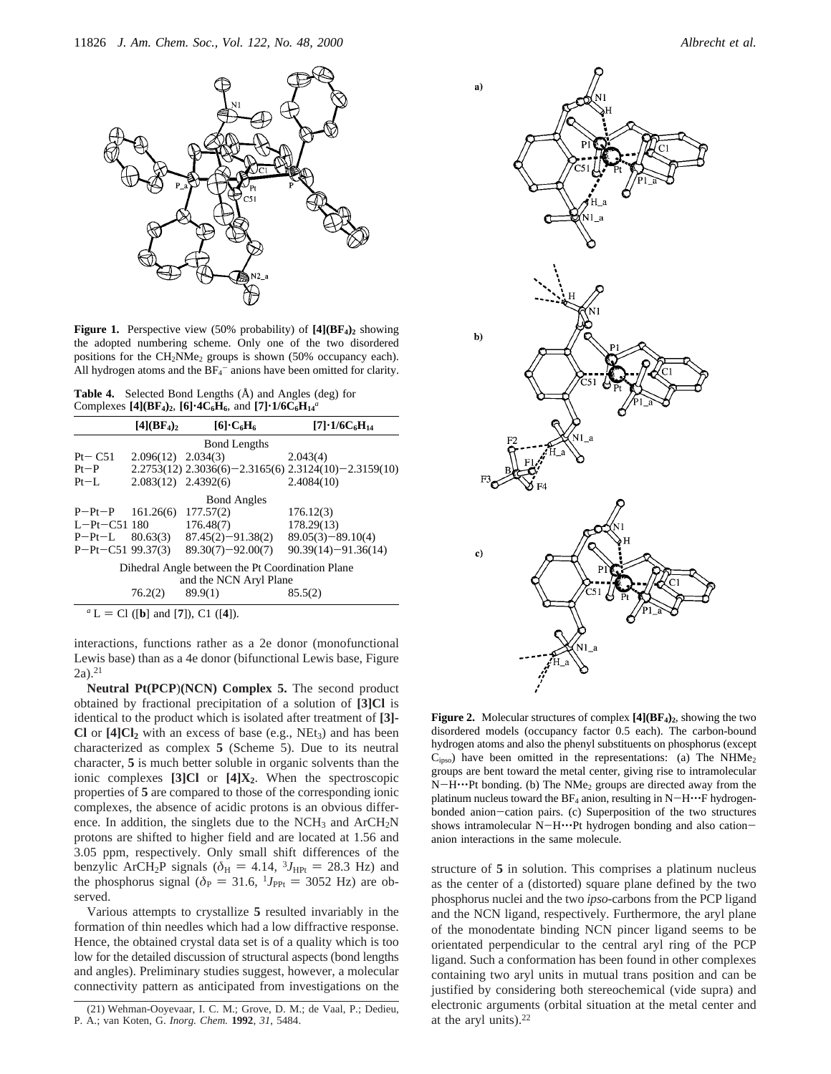

**Figure 1.** Perspective view (50% probability) of  $[4](BF_4)_2$  showing the adopted numbering scheme. Only one of the two disordered positions for the CH<sub>2</sub>NMe<sub>2</sub> groups is shown (50% occupancy each). All hydrogen atoms and the  $BF_4^-$  anions have been omitted for clarity.

**Table 4.** Selected Bond Lengths (Å) and Angles (deg) for Complexes  $[4]$ (BF<sub>4</sub>)<sub>2</sub>,  $[6]$ <sup> $\cdot$ </sup>4C<sub>6</sub>H<sub>6</sub>, and  $[7]$  $\cdot$ **1/6C<sub>6</sub>H**<sub>14</sub><sup>*a*</sup>

|                                                                            | [4] (BF <sub>4</sub> ) <sub>2</sub> | $[6]\cdot C_6H_6$     | $[7] \cdot 1/6C_6H_{14}$                                       |  |  |
|----------------------------------------------------------------------------|-------------------------------------|-----------------------|----------------------------------------------------------------|--|--|
|                                                                            |                                     | <b>Bond Lengths</b>   |                                                                |  |  |
| $Pt - C51$                                                                 | $2.096(12)$ $2.034(3)$              |                       | 2.043(4)                                                       |  |  |
| $Pt-P$                                                                     |                                     |                       | $2.2753(12)$ $2.3036(6) - 2.3165(6)$ $2.3124(10) - 2.3159(10)$ |  |  |
| $Pt-I$ .                                                                   | $2.083(12)$ $2.4392(6)$             |                       | 2.4084(10)                                                     |  |  |
|                                                                            | <b>Bond Angles</b>                  |                       |                                                                |  |  |
| $P-Pt-P$ 161.26(6)                                                         |                                     | 177.57(2)             | 176.12(3)                                                      |  |  |
| $L-Pt - C51$ 180                                                           |                                     | 176.48(7)             | 178.29(13)                                                     |  |  |
| $P-Pt-L$                                                                   | 80.63(3)                            | $87.45(2) - 91.38(2)$ | $89.05(3)-89.10(4)$                                            |  |  |
| $P-Pt-C51$ 99.37(3)                                                        |                                     | $89.30(7) - 92.00(7)$ | $90.39(14) - 91.36(14)$                                        |  |  |
| Dihedral Angle between the Pt Coordination Plane<br>and the NCN Aryl Plane |                                     |                       |                                                                |  |  |
|                                                                            | 76.2(2)                             | 89.9(1)               | 85.5(2)                                                        |  |  |

 $^a$  L = Cl ([**b**] and [7]), C1 ([4]).

interactions, functions rather as a 2e donor (monofunctional Lewis base) than as a 4e donor (bifunctional Lewis base, Figure  $2a)$ <sup>21</sup>

**Neutral Pt(PCP**)**(NCN) Complex 5.** The second product obtained by fractional precipitation of a solution of **[3]Cl** is identical to the product which is isolated after treatment of **[3]- Cl** or  $[4]$ Cl<sub>2</sub> with an excess of base (e.g., NEt<sub>3</sub>) and has been characterized as complex **5** (Scheme 5). Due to its neutral character, **5** is much better soluble in organic solvents than the ionic complexes **[3]Cl** or **[4]X2**. When the spectroscopic properties of **5** are compared to those of the corresponding ionic complexes, the absence of acidic protons is an obvious difference. In addition, the singlets due to the  $NCH_3$  and  $ArCH_2N$ protons are shifted to higher field and are located at 1.56 and 3.05 ppm, respectively. Only small shift differences of the benzylic ArCH<sub>2</sub>P signals ( $\delta$ <sub>H</sub> = 4.14, <sup>3</sup>*J*<sub>HPt</sub> = 28.3 Hz) and the phosphorus signal ( $\delta_P = 31.6$ ,  $^1J_{PPt} = 3052$  Hz) are observed.

Various attempts to crystallize **5** resulted invariably in the formation of thin needles which had a low diffractive response. Hence, the obtained crystal data set is of a quality which is too low for the detailed discussion of structural aspects (bond lengths and angles). Preliminary studies suggest, however, a molecular connectivity pattern as anticipated from investigations on the



**Figure 2.** Molecular structures of complex  $[4](BF_4)_2$ , showing the two disordered models (occupancy factor 0.5 each). The carbon-bound hydrogen atoms and also the phenyl substituents on phosphorus (except  $C<sub>ipso</sub>$ ) have been omitted in the representations: (a) The NHMe<sub>2</sub> groups are bent toward the metal center, giving rise to intramolecular N-H···Pt bonding. (b) The NMe<sub>2</sub> groups are directed away from the platinum nucleus toward the  $BF_4$  anion, resulting in  $N-H\cdots F$  hydrogenbonded anion-cation pairs. (c) Superposition of the two structures shows intramolecular N-H $\cdot\cdot\cdot$ Pt hydrogen bonding and also cationanion interactions in the same molecule.

structure of **5** in solution. This comprises a platinum nucleus as the center of a (distorted) square plane defined by the two phosphorus nuclei and the two *ipso*-carbons from the PCP ligand and the NCN ligand, respectively. Furthermore, the aryl plane of the monodentate binding NCN pincer ligand seems to be orientated perpendicular to the central aryl ring of the PCP ligand. Such a conformation has been found in other complexes containing two aryl units in mutual trans position and can be justified by considering both stereochemical (vide supra) and electronic arguments (orbital situation at the metal center and

<sup>(21)</sup> Wehman-Ooyevaar, I. C. M.; Grove, D. M.; de Vaal, P.; Dedieu, electronic argumen<br>A.; van Koten, G. *Inorg. Chem.* **1992**, 31, 5484. **a** at the aryl units).<sup>22</sup> P. A.; van Koten, G. *Inorg. Chem.* **1992**, *31*, 5484.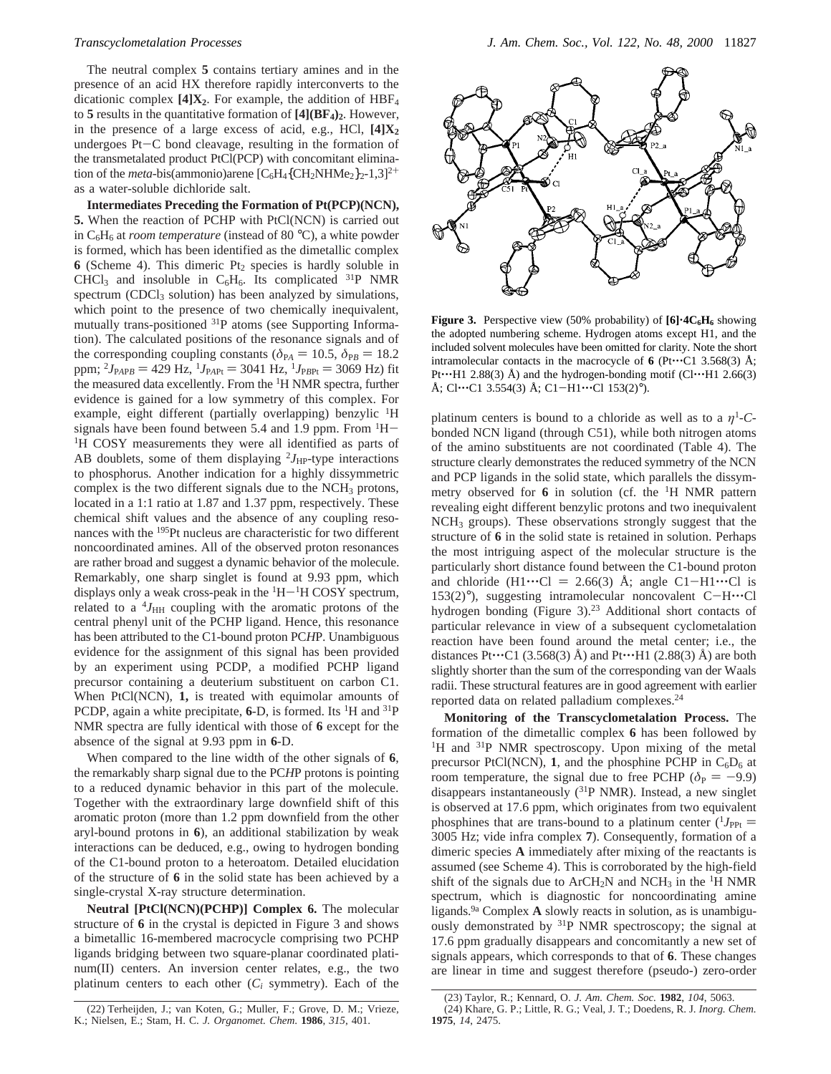The neutral complex **5** contains tertiary amines and in the presence of an acid HX therefore rapidly interconverts to the dicationic complex  $[4]X_2$ . For example, the addition of  $HBF_4$ to  $5$  results in the quantitative formation of  $[4](BF_4)_2$ . However, in the presence of a large excess of acid, e.g., HCl,  $[4]X_2$ undergoes Pt-C bond cleavage, resulting in the formation of the transmetalated product PtCl(PCP) with concomitant elimination of the *meta*-bis(ammonio)arene  $[C_6H_4\{CH_2NHMe_2\}_2$ -1,3]<sup>2+</sup> as a water-soluble dichloride salt.

**Intermediates Preceding the Formation of Pt(PCP)(NCN), 5.** When the reaction of PCHP with PtCl(NCN) is carried out in  $C_6H_6$  at *room temperature* (instead of 80 °C), a white powder is formed, which has been identified as the dimetallic complex **6** (Scheme 4). This dimeric Pt<sub>2</sub> species is hardly soluble in CHCl<sub>3</sub> and insoluble in  $C_6H_6$ . Its complicated <sup>31</sup>P NMR spectrum (CDCl<sub>3</sub> solution) has been analyzed by simulations, which point to the presence of two chemically inequivalent, mutually trans-positioned <sup>31</sup>P atoms (see Supporting Information). The calculated positions of the resonance signals and of the corresponding coupling constants ( $\delta_{PA} = 10.5$ ,  $\delta_{PB} = 18.2$ ppm;  ${}^{2}J_{\text{PAPB}} = 429 \text{ Hz}$ ,  ${}^{1}J_{\text{PAPt}} = 3041 \text{ Hz}$ ,  ${}^{1}J_{\text{PBPt}} = 3069 \text{ Hz}$ ) fit the measured data excellently. From the 1H NMR spectra, further evidence is gained for a low symmetry of this complex. For example, eight different (partially overlapping) benzylic <sup>1</sup>H signals have been found between 5.4 and 1.9 ppm. From  ${}^{1}H-{}^{1}H$  COSY measurements they were all identified as parts of AB doublets, some of them displaying  $2J_{HP}$ -type interactions to phosphorus. Another indication for a highly dissymmetric complex is the two different signals due to the  $NCH<sub>3</sub>$  protons, located in a 1:1 ratio at 1.87 and 1.37 ppm, respectively. These chemical shift values and the absence of any coupling resonances with the 195Pt nucleus are characteristic for two different noncoordinated amines. All of the observed proton resonances are rather broad and suggest a dynamic behavior of the molecule. Remarkably, one sharp singlet is found at 9.93 ppm, which displays only a weak cross-peak in the  ${}^{1}H-{}^{1}H$  COSY spectrum, related to a  $^{4}J_{\text{HH}}$  coupling with the aromatic protons of the central phenyl unit of the PCHP ligand. Hence, this resonance has been attributed to the C1-bound proton PC*H*P. Unambiguous evidence for the assignment of this signal has been provided by an experiment using PCDP, a modified PCHP ligand precursor containing a deuterium substituent on carbon C1. When PtCl(NCN), **1,** is treated with equimolar amounts of PCDP, again a white precipitate, **6**-D, is formed. Its <sup>1</sup>H and <sup>31</sup>P NMR spectra are fully identical with those of **6** except for the absence of the signal at 9.93 ppm in **6**-D.

When compared to the line width of the other signals of **6**, the remarkably sharp signal due to the PC*H*P protons is pointing to a reduced dynamic behavior in this part of the molecule. Together with the extraordinary large downfield shift of this aromatic proton (more than 1.2 ppm downfield from the other aryl-bound protons in **6**), an additional stabilization by weak interactions can be deduced, e.g., owing to hydrogen bonding of the C1-bound proton to a heteroatom. Detailed elucidation of the structure of **6** in the solid state has been achieved by a single-crystal X-ray structure determination.

**Neutral [PtCl(NCN)(PCHP)] Complex 6.** The molecular structure of **6** in the crystal is depicted in Figure 3 and shows a bimetallic 16-membered macrocycle comprising two PCHP ligands bridging between two square-planar coordinated platinum(II) centers. An inversion center relates, e.g., the two platinum centers to each other  $(C_i$  symmetry). Each of the



Figure 3. Perspective view (50% probability) of  $[6]$ <sup>-4</sup>C<sub>6</sub>H<sub>6</sub> showing the adopted numbering scheme. Hydrogen atoms except H1, and the included solvent molecules have been omitted for clarity. Note the short intramolecular contacts in the macrocycle of  $\bf{6}$  (Pt $\cdots$ C1 3.568(3) Å; Pt $\cdots$ H1 2.88(3) Å) and the hydrogen-bonding motif (Cl $\cdots$ H1 2.66(3) Å; Cl…C1 3.554(3) Å; C1-H1…Cl  $153(2)^\circ$ ).

platinum centers is bound to a chloride as well as to a  $\eta$ <sup>1</sup>-Cbonded NCN ligand (through C51), while both nitrogen atoms of the amino substituents are not coordinated (Table 4). The structure clearly demonstrates the reduced symmetry of the NCN and PCP ligands in the solid state, which parallels the dissymmetry observed for **6** in solution (cf. the 1H NMR pattern revealing eight different benzylic protons and two inequivalent NCH3 groups). These observations strongly suggest that the structure of **6** in the solid state is retained in solution. Perhaps the most intriguing aspect of the molecular structure is the particularly short distance found between the C1-bound proton and chloride  $(H1 \cdots C) = 2.66(3)$  Å; angle C1-H1 $\cdots$ Cl is 153(2)°), suggesting intramolecular noncovalent C-H'''Cl hydrogen bonding (Figure 3).<sup>23</sup> Additional short contacts of particular relevance in view of a subsequent cyclometalation reaction have been found around the metal center; i.e., the distances Pt $\cdots$ C1 (3.568(3) Å) and Pt $\cdots$ H1 (2.88(3) Å) are both slightly shorter than the sum of the corresponding van der Waals radii. These structural features are in good agreement with earlier reported data on related palladium complexes.24

**Monitoring of the Transcyclometalation Process.** The formation of the dimetallic complex **6** has been followed by <sup>1</sup>H and <sup>31</sup>P NMR spectroscopy. Upon mixing of the metal precursor PtCl(NCN), 1, and the phosphine PCHP in  $C_6D_6$  at room temperature, the signal due to free PCHP ( $\delta_P = -9.9$ ) disappears instantaneously (31P NMR). Instead, a new singlet is observed at 17.6 ppm, which originates from two equivalent phosphines that are trans-bound to a platinum center  $(^1J_{\text{PPt}} =$ 3005 Hz; vide infra complex **7**). Consequently, formation of a dimeric species **A** immediately after mixing of the reactants is assumed (see Scheme 4). This is corroborated by the high-field shift of the signals due to  $ArCH<sub>2</sub>N$  and  $NCH<sub>3</sub>$  in the <sup>1</sup>H NMR spectrum, which is diagnostic for noncoordinating amine ligands.9a Complex **A** slowly reacts in solution, as is unambiguously demonstrated by 31P NMR spectroscopy; the signal at 17.6 ppm gradually disappears and concomitantly a new set of signals appears, which corresponds to that of **6**. These changes are linear in time and suggest therefore (pseudo-) zero-order

<sup>(22)</sup> Terheijden, J.; van Koten, G.; Muller, F.; Grove, D. M.; Vrieze, K.; Nielsen, E.; Stam, H. C. *J. Organomet. Chem*. **1986**, *315*, 401.

<sup>(23)</sup> Taylor, R.; Kennard, O. *J. Am. Chem. Soc.* **1982**, *104*, 5063. (24) Khare, G. P.; Little, R. G.; Veal, J. T.; Doedens, R. J. *Inorg. Chem.* **1975**, *14*, 2475.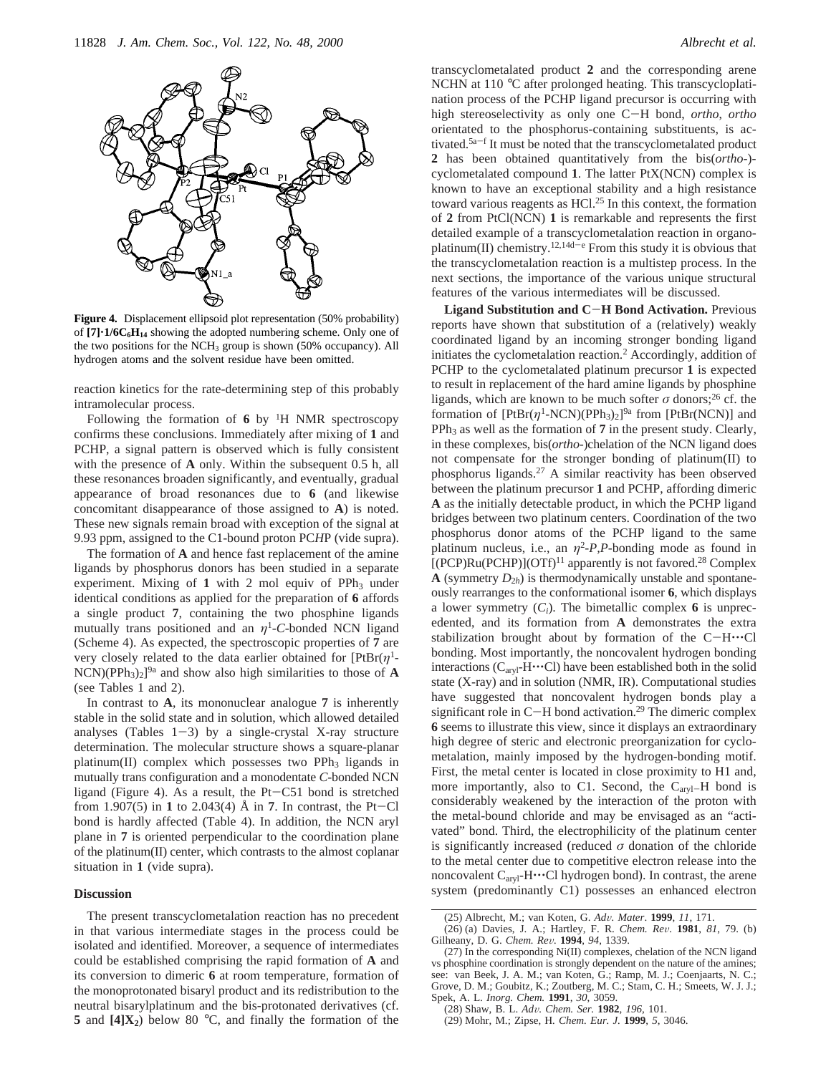

**Figure 4.** Displacement ellipsoid plot representation (50% probability) of [7]<sup>-</sup>1/6C<sub>6</sub>H<sub>14</sub> showing the adopted numbering scheme. Only one of the two positions for the  $NCH<sub>3</sub>$  group is shown (50% occupancy). All hydrogen atoms and the solvent residue have been omitted.

reaction kinetics for the rate-determining step of this probably intramolecular process.

Following the formation of  $6$  by <sup>1</sup>H NMR spectroscopy confirms these conclusions. Immediately after mixing of **1** and PCHP, a signal pattern is observed which is fully consistent with the presence of **A** only. Within the subsequent 0.5 h, all these resonances broaden significantly, and eventually, gradual appearance of broad resonances due to **6** (and likewise concomitant disappearance of those assigned to **A**) is noted. These new signals remain broad with exception of the signal at 9.93 ppm, assigned to the C1-bound proton PC*H*P (vide supra).

The formation of **A** and hence fast replacement of the amine ligands by phosphorus donors has been studied in a separate experiment. Mixing of  $1$  with  $2$  mol equiv of PPh<sub>3</sub> under identical conditions as applied for the preparation of **6** affords a single product **7**, containing the two phosphine ligands mutually trans positioned and an  $\eta$ <sup>1</sup>-C-bonded NCN ligand (Scheme 4). As expected, the spectroscopic properties of **7** are very closely related to the data earlier obtained for [PtBr(*η*1-  $NCN$ )(PPh<sub>3</sub>)<sub>2</sub>]<sup>9a</sup> and show also high similarities to those of **A** (see Tables 1 and 2).

In contrast to **A**, its mononuclear analogue **7** is inherently stable in the solid state and in solution, which allowed detailed analyses (Tables  $1-3$ ) by a single-crystal X-ray structure determination. The molecular structure shows a square-planar platinum(II) complex which possesses two PPh<sub>3</sub> ligands in mutually trans configuration and a monodentate *C*-bonded NCN ligand (Figure 4). As a result, the Pt-C51 bond is stretched from 1.907(5) in **1** to 2.043(4) Å in **7**. In contrast, the Pt-Cl bond is hardly affected (Table 4). In addition, the NCN aryl plane in **7** is oriented perpendicular to the coordination plane of the platinum(II) center, which contrasts to the almost coplanar situation in **1** (vide supra).

### **Discussion**

The present transcyclometalation reaction has no precedent in that various intermediate stages in the process could be isolated and identified. Moreover, a sequence of intermediates could be established comprising the rapid formation of **A** and its conversion to dimeric **6** at room temperature, formation of the monoprotonated bisaryl product and its redistribution to the neutral bisarylplatinum and the bis-protonated derivatives (cf. **5** and  $[4]X_2$ ) below 80 °C, and finally the formation of the

transcyclometalated product **2** and the corresponding arene NCHN at 110 °C after prolonged heating. This transcycloplatination process of the PCHP ligand precursor is occurring with high stereoselectivity as only one C-H bond, *ortho*, *ortho* orientated to the phosphorus-containing substituents, is activated.5a-<sup>f</sup> It must be noted that the transcyclometalated product **2** has been obtained quantitatively from the bis(*ortho*-) cyclometalated compound **1**. The latter PtX(NCN) complex is known to have an exceptional stability and a high resistance toward various reagents as HCl.25 In this context, the formation of **2** from PtCl(NCN) **1** is remarkable and represents the first detailed example of a transcyclometalation reaction in organoplatinum(II) chemistry.<sup>12,14d-e</sup> From this study it is obvious that the transcyclometalation reaction is a multistep process. In the next sections, the importance of the various unique structural features of the various intermediates will be discussed.

**Ligand Substitution and C**-**H Bond Activation.** Previous reports have shown that substitution of a (relatively) weakly coordinated ligand by an incoming stronger bonding ligand initiates the cyclometalation reaction.2 Accordingly, addition of PCHP to the cyclometalated platinum precursor **1** is expected to result in replacement of the hard amine ligands by phosphine ligands, which are known to be much softer  $\sigma$  donors;<sup>26</sup> cf. the formation of  $[PtBr(\eta^1\text{-NCN})(PPh_3)_2]^{9a}$  from  $[PtBr(NCN)]$  and  $PPh<sub>3</sub>$  as well as the formation of  $7$  in the present study. Clearly, in these complexes, bis(*ortho*-)chelation of the NCN ligand does not compensate for the stronger bonding of platinum(II) to phosphorus ligands.27 A similar reactivity has been observed between the platinum precursor **1** and PCHP, affording dimeric **A** as the initially detectable product, in which the PCHP ligand bridges between two platinum centers. Coordination of the two phosphorus donor atoms of the PCHP ligand to the same platinum nucleus, i.e., an  $\eta^2$ -*P*,*P*-bonding mode as found in  $[(PCP)Ru(PCHP)](OTf)<sup>11</sup>$  apparently is not favored.<sup>28</sup> Complex **A** (symmetry  $D_{2h}$ ) is thermodynamically unstable and spontaneously rearranges to the conformational isomer **6**, which displays a lower symmetry  $(C_i)$ . The bimetallic complex 6 is unprecedented, and its formation from **A** demonstrates the extra stabilization brought about by formation of the  $C-H^{\bullet}C$ bonding. Most importantly, the noncovalent hydrogen bonding interactions (C<sub>aryl</sub>-H···Cl) have been established both in the solid state (X-ray) and in solution (NMR, IR). Computational studies have suggested that noncovalent hydrogen bonds play a significant role in  $C-H$  bond activation.<sup>29</sup> The dimeric complex **6** seems to illustrate this view, since it displays an extraordinary high degree of steric and electronic preorganization for cyclometalation, mainly imposed by the hydrogen-bonding motif. First, the metal center is located in close proximity to H1 and, more importantly, also to C1. Second, the  $C_{\text{arvl}}-H$  bond is considerably weakened by the interaction of the proton with the metal-bound chloride and may be envisaged as an "activated" bond. Third, the electrophilicity of the platinum center is significantly increased (reduced  $\sigma$  donation of the chloride to the metal center due to competitive electron release into the noncovalent  $C_{\text{arvl}}$ -H $\cdots$ Cl hydrogen bond). In contrast, the arene system (predominantly C1) possesses an enhanced electron

<sup>(25)</sup> Albrecht, M.; van Koten, G. *Ad*V*. Mater*. **<sup>1999</sup>**, *<sup>11</sup>*, 171.

<sup>(26) (</sup>a) Davies, J. A.; Hartley, F. R. *Chem. Re*V. **<sup>1981</sup>**, *<sup>81</sup>*, 79. (b) Gilheany, D. G. *Chem. Re*V*.* **<sup>1994</sup>**, *<sup>94</sup>*, 1339.

<sup>(27)</sup> In the corresponding Ni(II) complexes, chelation of the NCN ligand vs phosphine coordination is strongly dependent on the nature of the amines; see: van Beek, J. A. M.; van Koten, G.; Ramp, M. J.; Coenjaarts, N. C.; Grove, D. M.; Goubitz, K.; Zoutberg, M. C.; Stam, C. H.; Smeets, W. J. J.; Spek, A. L. *Inorg. Chem.* **1991**, *30*, 3059.

<sup>(28)</sup> Shaw, B. L. *Ad*V*. Chem. Ser.* **<sup>1982</sup>**, *<sup>196</sup>*, 101. (29) Mohr, M.; Zipse, H*. Chem. Eur. J.* **1999**, *5*, 3046.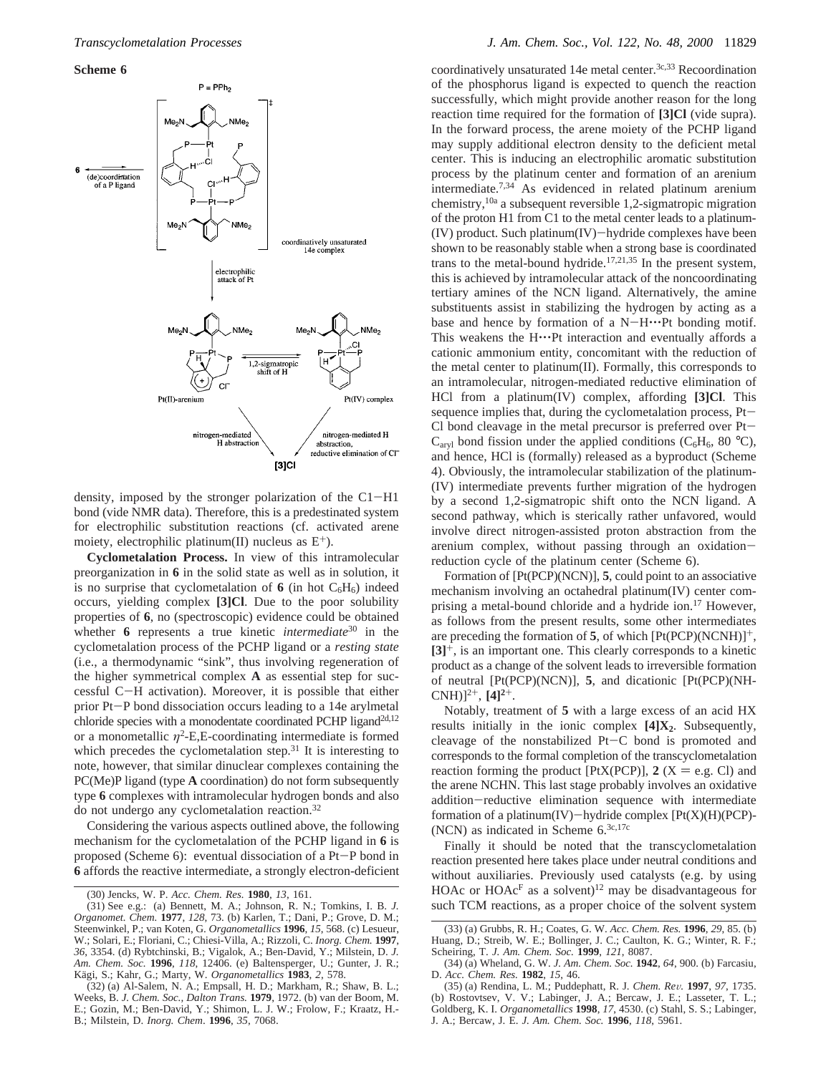**Scheme 6**



density, imposed by the stronger polarization of the C1-H1 bond (vide NMR data). Therefore, this is a predestinated system for electrophilic substitution reactions (cf. activated arene moiety, electrophilic platinum(II) nucleus as  $E^+$ ).

**Cyclometalation Process.** In view of this intramolecular preorganization in **6** in the solid state as well as in solution, it is no surprise that cyclometalation of  $6$  (in hot  $C_6H_6$ ) indeed occurs, yielding complex **[3]Cl**. Due to the poor solubility properties of **6**, no (spectroscopic) evidence could be obtained whether **6** represents a true kinetic *intermediate*<sup>30</sup> in the cyclometalation process of the PCHP ligand or a *resting state* (i.e., a thermodynamic "sink", thus involving regeneration of the higher symmetrical complex **A** as essential step for successful C-H activation). Moreover, it is possible that either prior Pt-P bond dissociation occurs leading to a 14e arylmetal chloride species with a monodentate coordinated PCHP ligand<sup>2d,12</sup> or a monometallic  $\eta^2$ -E,E-coordinating intermediate is formed which precedes the cyclometalation step. $31$  It is interesting to note, however, that similar dinuclear complexes containing the PC(Me)P ligand (type **A** coordination) do not form subsequently type **6** complexes with intramolecular hydrogen bonds and also do not undergo any cyclometalation reaction.32

Considering the various aspects outlined above, the following mechanism for the cyclometalation of the PCHP ligand in **6** is proposed (Scheme 6): eventual dissociation of a Pt-P bond in **6** affords the reactive intermediate, a strongly electron-deficient coordinatively unsaturated 14e metal center.<sup>3c,33</sup> Recoordination of the phosphorus ligand is expected to quench the reaction successfully, which might provide another reason for the long reaction time required for the formation of **[3]Cl** (vide supra). In the forward process, the arene moiety of the PCHP ligand may supply additional electron density to the deficient metal center. This is inducing an electrophilic aromatic substitution process by the platinum center and formation of an arenium intermediate.7,34 As evidenced in related platinum arenium chemistry,10a a subsequent reversible 1,2-sigmatropic migration of the proton H1 from C1 to the metal center leads to a platinum- (IV) product. Such platinum(IV)-hydride complexes have been shown to be reasonably stable when a strong base is coordinated trans to the metal-bound hydride.<sup>17,21,35</sup> In the present system, this is achieved by intramolecular attack of the noncoordinating tertiary amines of the NCN ligand. Alternatively, the amine substituents assist in stabilizing the hydrogen by acting as a base and hence by formation of a  $N-H^{\bullet}P$ t bonding motif. This weakens the H…Pt interaction and eventually affords a cationic ammonium entity, concomitant with the reduction of the metal center to platinum(II). Formally, this corresponds to an intramolecular, nitrogen-mediated reductive elimination of HCl from a platinum(IV) complex, affording **[3]Cl**. This sequence implies that, during the cyclometalation process, Pt-Cl bond cleavage in the metal precursor is preferred over  $Pt C_{\text{arvl}}$  bond fission under the applied conditions ( $C_6H_6$ , 80 °C), and hence, HCl is (formally) released as a byproduct (Scheme 4). Obviously, the intramolecular stabilization of the platinum- (IV) intermediate prevents further migration of the hydrogen by a second 1,2-sigmatropic shift onto the NCN ligand. A second pathway, which is sterically rather unfavored, would involve direct nitrogen-assisted proton abstraction from the arenium complex, without passing through an oxidationreduction cycle of the platinum center (Scheme 6).

Formation of [Pt(PCP)(NCN)], **5**, could point to an associative mechanism involving an octahedral platinum(IV) center comprising a metal-bound chloride and a hydride ion.17 However, as follows from the present results, some other intermediates are preceding the formation of  $5$ , of which  $[Pt(PCP)(NCNH)]^+,$ **[3]**+, is an important one. This clearly corresponds to a kinetic product as a change of the solvent leads to irreversible formation of neutral [Pt(PCP)(NCN)], **5**, and dicationic [Pt(PCP)(NH-CNH) $]^{2+}$ , [4] $^{2+}$ .

Notably, treatment of **5** with a large excess of an acid HX results initially in the ionic complex **[4]X<sub>2</sub>**. Subsequently, cleavage of the nonstabilized Pt-C bond is promoted and corresponds to the formal completion of the transcyclometalation reaction forming the product [PtX(PCP)],  $2$  (X = e.g. Cl) and the arene NCHN. This last stage probably involves an oxidative addition-reductive elimination sequence with intermediate formation of a platinum(IV)-hydride complex  $[Pt(X)(H)(PCP)$ -(NCN) as indicated in Scheme 6.3c,17c

Finally it should be noted that the transcyclometalation reaction presented here takes place under neutral conditions and without auxiliaries. Previously used catalysts (e.g. by using HOAc or  $HOAc<sup>F</sup>$  as a solvent)<sup>12</sup> may be disadvantageous for such TCM reactions, as a proper choice of the solvent system

<sup>(30)</sup> Jencks, W. P. *Acc. Chem. Res.* **1980**, *13*, 161.

<sup>(31)</sup> See e.g.: (a) Bennett, M. A.; Johnson, R. N.; Tomkins, I. B. *J. Organomet. Chem.* **1977**, *128*, 73. (b) Karlen, T.; Dani, P.; Grove, D. M.; Steenwinkel, P.; van Koten, G. *Organometallics* **1996**, *15*, 568. (c) Lesueur, W.; Solari, E.; Floriani, C.; Chiesi-Villa, A.; Rizzoli, C. *Inorg. Chem.* **1997**, *36*, 3354. (d) Rybtchinski, B.; Vigalok, A.; Ben-David, Y.; Milstein, D. *J. Am. Chem. Soc.* **1996**, *118*, 12406. (e) Baltensperger, U.; Gunter, J. R.; Ka¨gi, S.; Kahr, G.; Marty, W. *Organometallics* **1983**, *2*, 578.

<sup>(32) (</sup>a) Al-Salem, N. A.; Empsall, H. D.; Markham, R.; Shaw, B. L.; Weeks, B. *J. Chem. Soc., Dalton Trans.* **1979**, 1972. (b) van der Boom, M. E.; Gozin, M.; Ben-David, Y.; Shimon, L. J. W.; Frolow, F.; Kraatz, H.- B.; Milstein, D. *Inorg. Chem*. **1996**, *35*, 7068.

<sup>(33) (</sup>a) Grubbs, R. H.; Coates, G. W. *Acc. Chem. Res.* **1996**, *29*, 85. (b) Huang, D.; Streib, W. E.; Bollinger, J. C.; Caulton, K. G.; Winter, R. F.; Scheiring, T. *J. Am. Chem. Soc.* **1999**, *121*, 8087.

<sup>(34) (</sup>a) Wheland, G. W. *J. Am. Chem. Soc.* **1942**, *64*, 900. (b) Farcasiu, D. *Acc. Chem. Res.* **1982**, *15*, 46.

<sup>(35) (</sup>a) Rendina, L. M.; Puddephatt, R. J. *Chem. Re*V*.* **<sup>1997</sup>**, *<sup>97</sup>*, 1735. (b) Rostovtsev, V. V.; Labinger, J. A.; Bercaw, J. E.; Lasseter, T. L.; Goldberg, K. I. *Organometallics* **1998**, *17*, 4530. (c) Stahl, S. S.; Labinger, J. A.; Bercaw, J. E. *J. Am. Chem. Soc.* **1996**, *118*, 5961.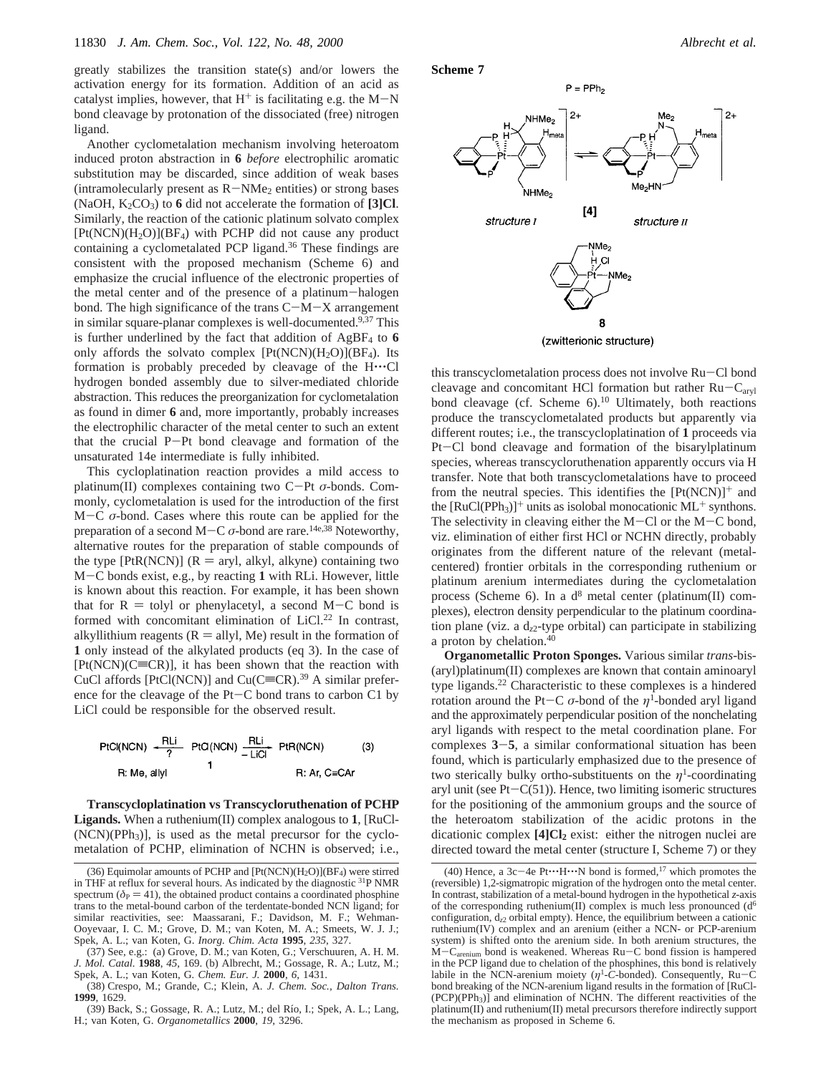greatly stabilizes the transition state(s) and/or lowers the activation energy for its formation. Addition of an acid as catalyst implies, however, that  $H^+$  is facilitating e.g. the M-N bond cleavage by protonation of the dissociated (free) nitrogen ligand.

Another cyclometalation mechanism involving heteroatom induced proton abstraction in **6** *before* electrophilic aromatic substitution may be discarded, since addition of weak bases (intramolecularly present as  $R-NMe<sub>2</sub>$  entities) or strong bases  $(NaOH, K<sub>2</sub>CO<sub>3</sub>)$  to 6 did not accelerate the formation of **[3]Cl.** Similarly, the reaction of the cationic platinum solvato complex  $[Pt(NCN)(H_2O)](BF_4)$  with PCHP did not cause any product containing a cyclometalated PCP ligand.36 These findings are consistent with the proposed mechanism (Scheme 6) and emphasize the crucial influence of the electronic properties of the metal center and of the presence of a platinum-halogen bond. The high significance of the trans  $C-M-X$  arrangement in similar square-planar complexes is well-documented.<sup>9,37</sup> This is further underlined by the fact that addition of  $AgBF<sub>4</sub>$  to  $6$ only affords the solvato complex  $[Pt(NCN)(H_2O)](BF_4)$ . Its formation is probably preceded by cleavage of the H'''Cl hydrogen bonded assembly due to silver-mediated chloride abstraction. This reduces the preorganization for cyclometalation as found in dimer **6** and, more importantly, probably increases the electrophilic character of the metal center to such an extent that the crucial P-Pt bond cleavage and formation of the unsaturated 14e intermediate is fully inhibited.

This cycloplatination reaction provides a mild access to platinum(II) complexes containing two C-Pt *<sup>σ</sup>*-bonds. Commonly, cyclometalation is used for the introduction of the first <sup>M</sup>-<sup>C</sup> *<sup>σ</sup>*-bond. Cases where this route can be applied for the preparation of a second  $M-C$   $\sigma$ -bond are rare.<sup>14e,38</sup> Noteworthy, alternative routes for the preparation of stable compounds of the type  $[PtR(NCN)] (R = aryl, alkyl, alkyne)$  containing two <sup>M</sup>-C bonds exist, e.g., by reacting **<sup>1</sup>** with RLi. However, little is known about this reaction. For example, it has been shown that for  $R =$  tolyl or phenylacetyl, a second M-C bond is formed with concomitant elimination of LiCl.<sup>22</sup> In contrast, alkyllithium reagents ( $R =$  allyl, Me) result in the formation of **1** only instead of the alkylated products (eq 3). In the case of  $[Pt(NCN)(C\equiv CR)]$ , it has been shown that the reaction with CuCl affords [PtCl(NCN)] and Cu(C $\equiv$ CR).<sup>39</sup> A similar preference for the cleavage of the Pt-C bond trans to carbon C1 by LiCl could be responsible for the observed result.



**Transcycloplatination vs Transcycloruthenation of PCHP Ligands.** When a ruthenium(II) complex analogous to **1**, [RuCl-  $(NCN)(PPh<sub>3</sub>)$ , is used as the metal precursor for the cyclometalation of PCHP, elimination of NCHN is observed; i.e.,

(38) Crespo, M.; Grande, C.; Klein, A. *J. Chem. Soc., Dalton Trans.* **1999**, 1629.

(39) Back, S.; Gossage, R. A.; Lutz, M.; del Rı´o, I.; Spek, A. L.; Lang, H.; van Koten, G. *Organometallics* **2000**, *19*, 3296.





(zwitterionic structure)

this transcyclometalation process does not involve Ru-Cl bond cleavage and concomitant HCl formation but rather Ru-Caryl bond cleavage (cf. Scheme 6).<sup>10</sup> Ultimately, both reactions produce the transcyclometalated products but apparently via different routes; i.e., the transcycloplatination of **1** proceeds via Pt-Cl bond cleavage and formation of the bisarylplatinum species, whereas transcycloruthenation apparently occurs via H transfer. Note that both transcyclometalations have to proceed from the neutral species. This identifies the  $[Pt(NCN)]^+$  and the  $[RuCl(PPh<sub>3</sub>)]<sup>+</sup>$  units as isolobal monocationic ML<sup>+</sup> synthons. The selectivity in cleaving either the  $M-C$  or the  $M-C$  bond, viz. elimination of either first HCl or NCHN directly, probably originates from the different nature of the relevant (metalcentered) frontier orbitals in the corresponding ruthenium or platinum arenium intermediates during the cyclometalation process (Scheme 6). In a  $d^8$  metal center (platinum(II) complexes), electron density perpendicular to the platinum coordination plane (viz. a  $d_{z2}$ -type orbital) can participate in stabilizing a proton by chelation.<sup>40</sup>

**Organometallic Proton Sponges.** Various similar *trans*-bis- (aryl)platinum(II) complexes are known that contain aminoaryl type ligands.22 Characteristic to these complexes is a hindered rotation around the Pt-C  $\sigma$ -bond of the  $\eta$ <sup>1</sup>-bonded aryl ligand and the approximately perpendicular position of the nonchelating aryl ligands with respect to the metal coordination plane. For complexes **<sup>3</sup>**-**5**, a similar conformational situation has been found, which is particularly emphasized due to the presence of two sterically bulky ortho-substituents on the  $\eta$ <sup>1</sup>-coordinating aryl unit (see  $Pt-C(51)$ ). Hence, two limiting isomeric structures for the positioning of the ammonium groups and the source of the heteroatom stabilization of the acidic protons in the dicationic complex **[4]Cl<sub>2</sub>** exist: either the nitrogen nuclei are directed toward the metal center (structure I, Scheme 7) or they

<sup>(36)</sup> Equimolar amounts of PCHP and  $[Pt(NCN)(H<sub>2</sub>O)](BF<sub>4</sub>)$  were stirred in THF at reflux for several hours. As indicated by the diagnostic 31P NMR spectrum ( $\delta_P = 41$ ), the obtained product contains a coordinated phosphine trans to the metal-bound carbon of the terdentate-bonded NCN ligand; for similar reactivities, see: Maassarani, F.; Davidson, M. F.; Wehman-Ooyevaar, I. C. M.; Grove, D. M.; van Koten, M. A.; Smeets, W. J. J.; Spek, A. L.; van Koten, G. *Inorg. Chim. Acta* **1995**, *235*, 327.

<sup>(37)</sup> See, e.g.: (a) Grove, D. M.; van Koten, G.; Verschuuren, A. H. M. *J. Mol. Catal.* **1988**, *45*, 169. (b) Albrecht, M.; Gossage, R. A.; Lutz, M.; Spek, A. L.; van Koten, G*. Chem. Eur. J.* **2000**, *6*, 1431.

<sup>(40)</sup> Hence, a 3c $-4e$  Pt $\cdots$ H $\cdots$ N bond is formed,<sup>17</sup> which promotes the (reversible) 1,2-sigmatropic migration of the hydrogen onto the metal center. In contrast, stabilization of a metal-bound hydrogen in the hypothetical *z*-axis of the corresponding ruthenium(II) complex is much less pronounced  $(d<sup>6</sup>)$ configuration, d*z*<sup>2</sup> orbital empty). Hence, the equilibrium between a cationic ruthenium(IV) complex and an arenium (either a NCN- or PCP-arenium system) is shifted onto the arenium side. In both arenium structures, the  $\dot{M}-C_{\text{arenim}}$  bond is weakened. Whereas Ru-C bond fission is hampered in the PCP ligand due to chelation of the phosphines, this bond is relatively labile in the NCN-arenium moiety ( $\eta$ <sup>1</sup>-C-bonded). Consequently, Ru-C bond breaking of the NCN-arenium ligand results in the formation of [RuCl-  $(PCP)(PPh<sub>3</sub>)]$  and elimination of NCHN. The different reactivities of the platinum(II) and ruthenium(II) metal precursors therefore indirectly support the mechanism as proposed in Scheme 6.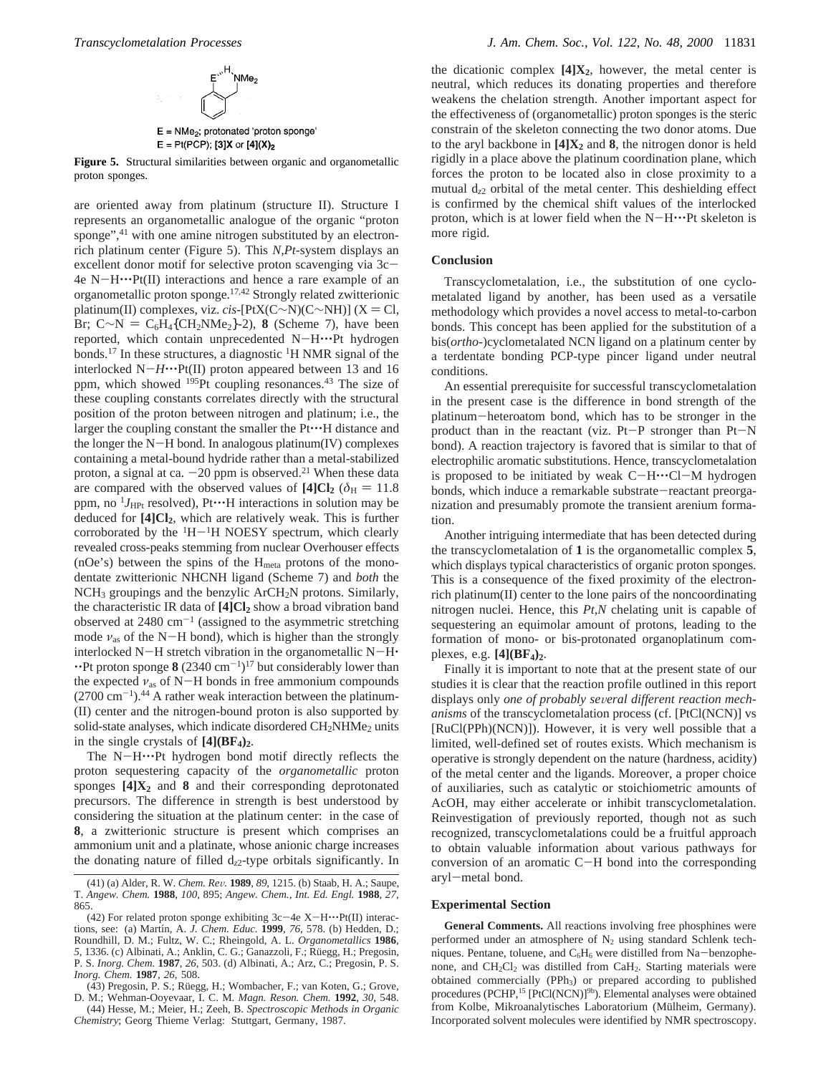

 $E = Pt(PCP);$  [3]X or [4](X)<sub>2</sub>

**Figure 5.** Structural similarities between organic and organometallic proton sponges.

are oriented away from platinum (structure II). Structure I represents an organometallic analogue of the organic "proton sponge",<sup>41</sup> with one amine nitrogen substituted by an electronrich platinum center (Figure 5). This *N,Pt*-system displays an excellent donor motif for selective proton scavenging via  $3c 4e N-H^{\bullet}Pf(II)$  interactions and hence a rare example of an organometallic proton sponge.17,42 Strongly related zwitterionic platinum(II) complexes, viz. *cis*-[PtX(C∼N)(C∼NH)] (X = Cl, Br; C∼N = C<sub>6</sub>H<sub>4</sub>{CH<sub>2</sub>NMe<sub>2</sub>}-2), **8** (Scheme 7), have been reported, which contain unprecedented N-H.···Pt hydrogen bonds.<sup>17</sup> In these structures, a diagnostic <sup>1</sup>H NMR signal of the interlocked  $N-H^{\bullet\bullet\bullet}Pt(II)$  proton appeared between 13 and 16 ppm, which showed <sup>195</sup>Pt coupling resonances.<sup>43</sup> The size of these coupling constants correlates directly with the structural position of the proton between nitrogen and platinum; i.e., the larger the coupling constant the smaller the  $Pt^{\bullet}H$  distance and the longer the  $N-H$  bond. In analogous platinum(IV) complexes containing a metal-bound hydride rather than a metal-stabilized proton, a signal at ca.  $-20$  ppm is observed.<sup>21</sup> When these data are compared with the observed values of  $[4]Cl_2$  ( $\delta_H = 11.8$ ) ppm, no  $^{1}J_{HPt}$  resolved), Pt $\cdots$ H interactions in solution may be deduced for **[4]Cl2**, which are relatively weak. This is further corroborated by the  $H^{-1}H$  NOESY spectrum, which clearly revealed cross-peaks stemming from nuclear Overhouser effects (nOe's) between the spins of the Hmeta protons of the monodentate zwitterionic NHCNH ligand (Scheme 7) and *both* the NCH3 groupings and the benzylic ArCH2N protons. Similarly, the characteristic IR data of [4]Cl<sub>2</sub> show a broad vibration band observed at  $2480 \text{ cm}^{-1}$  (assigned to the asymmetric stretching mode  $v_{\text{as}}$  of the N-H bond), which is higher than the strongly interlocked N-H stretch vibration in the organometallic  $N-H$  $\cdot$ Pt proton sponge **8** (2340 cm<sup>-1</sup>)<sup>17</sup> but considerably lower than the expected  $v_{\text{as}}$  of N-H bonds in free ammonium compounds  $(2700 \text{ cm}^{-1})$ .<sup>44</sup> A rather weak interaction between the platinum-(II) center and the nitrogen-bound proton is also supported by solid-state analyses, which indicate disordered CH<sub>2</sub>NHMe<sub>2</sub> units in the single crystals of  $[4](BF_4)_2$ .

The N-H···Pt hydrogen bond motif directly reflects the proton sequestering capacity of the *organometallic* proton sponges  $[4]X_2$  and **8** and their corresponding deprotonated precursors. The difference in strength is best understood by considering the situation at the platinum center: in the case of **8**, a zwitterionic structure is present which comprises an ammonium unit and a platinate, whose anionic charge increases the donating nature of filled  $d_{z2}$ -type orbitals significantly. In

the dicationic complex  $[4]X_2$ , however, the metal center is neutral, which reduces its donating properties and therefore weakens the chelation strength. Another important aspect for the effectiveness of (organometallic) proton sponges is the steric constrain of the skeleton connecting the two donor atoms. Due to the aryl backbone in  $[4]X_2$  and 8, the nitrogen donor is held rigidly in a place above the platinum coordination plane, which forces the proton to be located also in close proximity to a mutual  $d_{z2}$  orbital of the metal center. This deshielding effect is confirmed by the chemical shift values of the interlocked proton, which is at lower field when the  $N-H\cdots$ Pt skeleton is more rigid.

### **Conclusion**

Transcyclometalation, i.e., the substitution of one cyclometalated ligand by another, has been used as a versatile methodology which provides a novel access to metal-to-carbon bonds. This concept has been applied for the substitution of a bis(*ortho*-)cyclometalated NCN ligand on a platinum center by a terdentate bonding PCP-type pincer ligand under neutral conditions.

An essential prerequisite for successful transcyclometalation in the present case is the difference in bond strength of the platinum-heteroatom bond, which has to be stronger in the product than in the reactant (viz. Pt-P stronger than Pt-<sup>N</sup> bond). A reaction trajectory is favored that is similar to that of electrophilic aromatic substitutions. Hence, transcyclometalation is proposed to be initiated by weak  $C-H^{\bullet}C-H^{\bullet}C$  hydrogen bonds, which induce a remarkable substrate-reactant preorganization and presumably promote the transient arenium formation.

Another intriguing intermediate that has been detected during the transcyclometalation of **1** is the organometallic complex **5**, which displays typical characteristics of organic proton sponges. This is a consequence of the fixed proximity of the electronrich platinum(II) center to the lone pairs of the noncoordinating nitrogen nuclei. Hence, this *Pt,N* chelating unit is capable of sequestering an equimolar amount of protons, leading to the formation of mono- or bis-protonated organoplatinum complexes, e.g. **[4](BF4)2**.

Finally it is important to note that at the present state of our studies it is clear that the reaction profile outlined in this report displays only *one of probably several different reaction mechanisms* of the transcyclometalation process (cf. [PtCl(NCN)] vs [RuCl(PPh)(NCN)]). However, it is very well possible that a limited, well-defined set of routes exists. Which mechanism is operative is strongly dependent on the nature (hardness, acidity) of the metal center and the ligands. Moreover, a proper choice of auxiliaries, such as catalytic or stoichiometric amounts of AcOH, may either accelerate or inhibit transcyclometalation. Reinvestigation of previously reported, though not as such recognized, transcyclometalations could be a fruitful approach to obtain valuable information about various pathways for conversion of an aromatic C-H bond into the corresponding aryl-metal bond.

### **Experimental Section**

**General Comments.** All reactions involving free phosphines were performed under an atmosphere of  $N_2$  using standard Schlenk techniques. Pentane, toluene, and C6H6 were distilled from Na-benzophenone, and  $CH_2Cl_2$  was distilled from CaH<sub>2</sub>. Starting materials were obtained commercially (PPh<sub>3</sub>) or prepared according to published procedures (PCHP,<sup>15</sup> [PtCl(NCN)]<sup>9b</sup>). Elemental analyses were obtained from Kolbe, Mikroanalytisches Laboratorium (Mülheim, Germany). Incorporated solvent molecules were identified by NMR spectroscopy.

<sup>(41) (</sup>a) Alder, R. W. *Chem. Re*V*.* **<sup>1989</sup>**, *<sup>89</sup>*, 1215. (b) Staab, H. A.; Saupe, T. *Angew. Chem.* **1988**, *100*, 895; *Angew. Chem., Int. Ed. Engl.* **1988**, *27*, 865.

<sup>(42)</sup> For related proton sponge exhibiting  $3c-4e$  X-H $\cdots$ Pt(II) interactions, see: (a) Martín, A. *J. Chem. Educ.* **1999**, 76, 578. (b) Hedden, D.; Roundhill, D. M.; Fultz, W. C.; Rheingold, A. L. *Organometallics* **1986**, 5, 1336. (c) Albinati, A.; Anklin, C. G.; Ganazzoli, F.; Rüegg, H.; Pregosin, P. S. *Inorg. Chem.* **1987**, *26*, 503. (d) Albinati, A.; Arz, C.; Pregosin, P. S. *Inorg. Chem.* **1987**, *26*, 508.

<sup>(43)</sup> Pregosin, P. S.; Rüegg, H.; Wombacher, F.; van Koten, G.; Grove, D. M.; Wehman-Ooyevaar, I. C. M. *Magn. Reson. Chem.* **1992**, *30*, 548.

<sup>(44)</sup> Hesse, M.; Meier, H.; Zeeh, B. *Spectroscopic Methods in Organic Chemistry*; Georg Thieme Verlag: Stuttgart, Germany, 1987.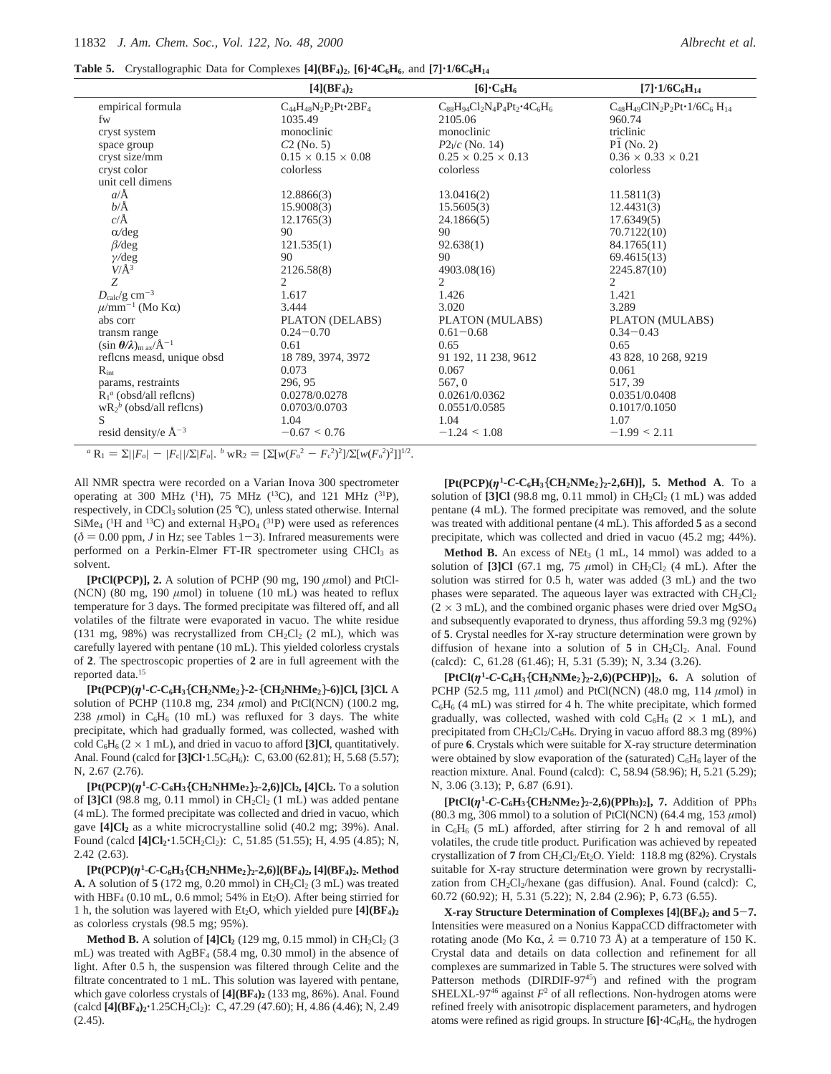| <b>Table 5.</b> Crystallographic Data for Complexes $[4](BF_4)_2$ , $[6]\cdot 4C_6H_6$ , and $[7]\cdot 1/6C_6H_{14}$ |  |  |
|----------------------------------------------------------------------------------------------------------------------|--|--|
|                                                                                                                      |  |  |

|                                                   | [4] (BF <sub>4</sub> ) <sub>2</sub> | $[6]\cdot C_6H_6$                          | $[7] \cdot 1/6C_6H_{14}$                    |
|---------------------------------------------------|-------------------------------------|--------------------------------------------|---------------------------------------------|
| empirical formula                                 | $C_{44}H_{48}N_2P_2Pt \cdot 2BF_4$  | $C_{88}H_{94}Cl_2N_4P_4Pt_2 \cdot 4C_6H_6$ | $C_{48}H_{49}C1N_2P_2Pt \cdot 1/6C_6H_{14}$ |
| fw                                                | 1035.49                             | 2105.06                                    | 960.74                                      |
| cryst system                                      | monoclinic                          | monoclinic                                 | triclinic                                   |
| space group                                       | $C2$ (No. 5)                        | $P2\sqrt{c}$ (No. 14)                      | $P1$ (No. 2)                                |
| cryst size/mm                                     | $0.15 \times 0.15 \times 0.08$      | $0.25 \times 0.25 \times 0.13$             | $0.36 \times 0.33 \times 0.21$              |
| cryst color                                       | colorless                           | colorless                                  | colorless                                   |
| unit cell dimens                                  |                                     |                                            |                                             |
| $a/\text{\AA}$                                    | 12.8866(3)                          | 13.0416(2)                                 | 11.5811(3)                                  |
| $b/\text{\AA}$                                    | 15.9008(3)                          | 15.5605(3)                                 | 12.4431(3)                                  |
| $c/\text{\AA}$                                    | 12.1765(3)                          | 24.1866(5)                                 | 17.6349(5)                                  |
| $\alpha$ /deg                                     | 90                                  | 90                                         | 70.7122(10)                                 |
| $\beta$ /deg                                      | 121.535(1)                          | 92.638(1)                                  | 84.1765(11)                                 |
| $\gamma$ /deg                                     | 90                                  | 90                                         | 69.4615(13)                                 |
| $V/\AA$ <sup>3</sup>                              | 2126.58(8)                          | 4903.08(16)                                | 2245.87(10)                                 |
| Z                                                 | $\overline{2}$                      | $\overline{c}$                             | $\mathcal{D}_{\mathcal{L}}$                 |
| $D_{\rm calc}/\rm g\ cm^{-3}$                     | 1.617                               | 1.426                                      | 1.421                                       |
| $\mu$ /mm <sup>-1</sup> (Mo K $\alpha$ )          | 3.444                               | 3.020                                      | 3.289                                       |
| abs corr                                          | PLATON (DELABS)                     | PLATON (MULABS)                            | PLATON (MULABS)                             |
| transm range                                      | $0.24 - 0.70$                       | $0.61 - 0.68$                              | $0.34 - 0.43$                               |
| $(\sin \theta/\lambda)_{\rm m\,ax}/\rm{\AA}^{-1}$ | 0.61                                | 0.65                                       | 0.65                                        |
| reflcns measd, unique obsd                        | 18 789, 3974, 3972                  | 91 192, 11 238, 9612                       | 43 828, 10 268, 9219                        |
| $R_{int}$                                         | 0.073                               | 0.067                                      | 0.061                                       |
| params, restraints                                | 296, 95                             | 567, 0                                     | 517, 39                                     |
| $R_1^a$ (obsd/all reflens)                        | 0.0278/0.0278                       | 0.0261/0.0362                              | 0.0351/0.0408                               |
| $wR_2^b$ (obsd/all reflens)                       | 0.0703/0.0703                       | 0.0551/0.0585                              | 0.1017/0.1050                               |
| S                                                 | 1.04                                | 1.04                                       | 1.07                                        |
| resid density/e $\AA^{-3}$                        | $-0.67 \le 0.76$<br>$-2x - 2 = 2$   | $-1.24 \le 1.08$                           | $-1.99 \le 2.11$                            |

 $a_R = \sum ||F_o| - |F_c||\sum |F_o|$ . *b*  $wR_2 = [\sum [w(F_o^2 - F_c^2)^2]/\sum [w(F_o^2)^2]]^{1/2}$ .

All NMR spectra were recorded on a Varian Inova 300 spectrometer operating at 300 MHz ( ${}^{1}$ H), 75 MHz ( ${}^{13}$ C), and 121 MHz ( ${}^{31}$ P), respectively, in CDCl<sub>3</sub> solution (25 °C), unless stated otherwise. Internal  $\text{SiMe}_4$  (<sup>1</sup>H and <sup>13</sup>C) and external H<sub>3</sub>PO<sub>4</sub> (<sup>31</sup>P) were used as references  $(\delta = 0.00$  ppm, *J* in Hz; see Tables 1-3). Infrared measurements were performed on a Perkin-Elmer FT-IR spectrometer using CHCl<sub>3</sub> as solvent.

**[PtCl(PCP)], 2.** A solution of PCHP (90 mg, 190 *µ*mol) and PtCl- (NCN) (80 mg, 190  $\mu$ mol) in toluene (10 mL) was heated to reflux temperature for 3 days. The formed precipitate was filtered off, and all volatiles of the filtrate were evaporated in vacuo. The white residue (131 mg, 98%) was recrystallized from  $CH_2Cl_2$  (2 mL), which was carefully layered with pentane (10 mL). This yielded colorless crystals of **2**. The spectroscopic properties of **2** are in full agreement with the reported data.15

**[Pt(PCP)(***η***<sup>1</sup> -***C***-C6H3**{**CH2NMe2**}**-2-**{**CH2NHMe2**}**-6)]Cl, [3]Cl.** A solution of PCHP (110.8 mg, 234 *µ*mol) and PtCl(NCN) (100.2 mg, 238  $\mu$ mol) in C<sub>6</sub>H<sub>6</sub> (10 mL) was refluxed for 3 days. The white precipitate, which had gradually formed, was collected, washed with cold  $C_6H_6$  ( $2 \times 1$  mL), and dried in vacuo to afford **[3]Cl**, quantitatively. Anal. Found (calcd for [3]Cl<sup>·</sup>1.5C<sub>6</sub>H<sub>6</sub>): C, 63.00 (62.81); H, 5.68 (5.57); N, 2.67 (2.76).

**[Pt(PCP)(***η***<sup>1</sup> -***C***-C6H3**{**CH2NHMe2**}**2-2,6)]Cl2, [4]Cl2.** To a solution of  $[3]$ Cl (98.8 mg, 0.11 mmol) in  $CH_2Cl_2$  (1 mL) was added pentane (4 mL). The formed precipitate was collected and dried in vacuo, which gave  $[4]Cl<sub>2</sub>$  as a white microcrystalline solid (40.2 mg; 39%). Anal. Found (calcd  $[4]Cl_2$ <sup>-1</sup>.5CH<sub>2</sub>Cl<sub>2</sub>): C, 51.85 (51.55); H, 4.95 (4.85); N, 2.42 (2.63).

**[Pt(PCP)(***η***<sup>1</sup> -***C***-C6H3**{**CH2NHMe2**}**2-2,6)](BF4)2, [4](BF4)2. Method A.** A solution of  $5(172 \text{ mg}, 0.20 \text{ mmol})$  in  $CH_2Cl_2(3 \text{ mL})$  was treated with  $HBF_4$  (0.10 mL, 0.6 mmol; 54% in Et<sub>2</sub>O). After being stirried for 1 h, the solution was layered with Et<sub>2</sub>O, which yielded pure  $[4](BF_4)_2$ as colorless crystals (98.5 mg; 95%).

**Method B.** A solution of  $[4]Cl<sub>2</sub>$  (129 mg, 0.15 mmol) in CH<sub>2</sub>Cl<sub>2</sub> (3) mL) was treated with AgBF4 (58.4 mg, 0.30 mmol) in the absence of light. After 0.5 h, the suspension was filtered through Celite and the filtrate concentrated to 1 mL. This solution was layered with pentane, which gave colorless crystals of  $[4] (BF_4)_2$  (133 mg, 86%). Anal. Found (calcd  $[4](BF_4)_2$ <sup>+</sup>1.25CH<sub>2</sub>Cl<sub>2</sub>): C, 47.29 (47.60); H, 4.86 (4.46); N, 2.49  $(2.45).$ 

**[Pt(PCP)(***η***1-***C***-C6H3**{**CH2NMe2**}**2-2,6H)], 5. Method A**. To a solution of  $[3]Cl$  (98.8 mg, 0.11 mmol) in  $CH_2Cl_2$  (1 mL) was added pentane (4 mL). The formed precipitate was removed, and the solute was treated with additional pentane (4 mL). This afforded **5** as a second precipitate, which was collected and dried in vacuo (45.2 mg; 44%).

**Method B.** An excess of NEt<sub>3</sub>  $(1 \text{ mL}, 14 \text{ mmol})$  was added to a solution of  $[3]Cl$  (67.1 mg, 75  $\mu$ mol) in CH<sub>2</sub>Cl<sub>2</sub> (4 mL). After the solution was stirred for 0.5 h, water was added (3 mL) and the two phases were separated. The aqueous layer was extracted with  $CH_2Cl_2$  $(2 \times 3 \text{ mL})$ , and the combined organic phases were dried over MgSO<sub>4</sub> and subsequently evaporated to dryness, thus affording 59.3 mg (92%) of **5**. Crystal needles for X-ray structure determination were grown by diffusion of hexane into a solution of  $5$  in CH<sub>2</sub>Cl<sub>2</sub>. Anal. Found (calcd): C, 61.28 (61.46); H, 5.31 (5.39); N, 3.34 (3.26).

**[PtCl(***η***1-***C***-C6H3**{**CH2NMe2**}**2-2,6)(PCHP)]2, 6.** A solution of PCHP (52.5 mg, 111 *µ*mol) and PtCl(NCN) (48.0 mg, 114 *µ*mol) in  $C_6H_6$  (4 mL) was stirred for 4 h. The white precipitate, which formed gradually, was collected, washed with cold  $C_6H_6$  (2  $\times$  1 mL), and precipitated from  $CH_2Cl_2/C_6H_6$ . Drying in vacuo afford 88.3 mg (89%) of pure **6**. Crystals which were suitable for X-ray structure determination were obtained by slow evaporation of the (saturated)  $C_6H_6$  layer of the reaction mixture. Anal. Found (calcd): C, 58.94 (58.96); H, 5.21 (5.29); N, 3.06 (3.13); P, 6.87 (6.91).

**[PtCl(***η***<sup>1</sup> -***C***-C6H3**{**CH2NMe2**}**2-2,6)(PPh3)2], 7.** Addition of PPh3 (80.3 mg, 306 mmol) to a solution of PtCl(NCN) (64.4 mg, 153 *µ*mol) in  $C_6H_6$  (5 mL) afforded, after stirring for 2 h and removal of all volatiles, the crude title product. Purification was achieved by repeated crystallization of **7** from CH<sub>2</sub>Cl<sub>2</sub>/Et<sub>2</sub>O. Yield: 118.8 mg (82%). Crystals suitable for X-ray structure determination were grown by recrystallization from  $CH_2Cl_2$ /hexane (gas diffusion). Anal. Found (calcd): C, 60.72 (60.92); H, 5.31 (5.22); N, 2.84 (2.96); P, 6.73 (6.55).

**X-ray Structure Determination of Complexes [4](BF4)2 and 5**-**7.** Intensities were measured on a Nonius KappaCCD diffractometer with rotating anode (Mo Kα,  $\lambda = 0.71073$  Å) at a temperature of 150 K. Crystal data and details on data collection and refinement for all complexes are summarized in Table 5. The structures were solved with Patterson methods (DIRDIF-97<sup>45</sup>) and refined with the program SHELXL-97<sup>46</sup> against  $F^2$  of all reflections. Non-hydrogen atoms were refined freely with anisotropic displacement parameters, and hydrogen atoms were refined as rigid groups. In structure  $[6]$ <sup> $\cdot$ 4</sup> $C_6H_6$ , the hydrogen